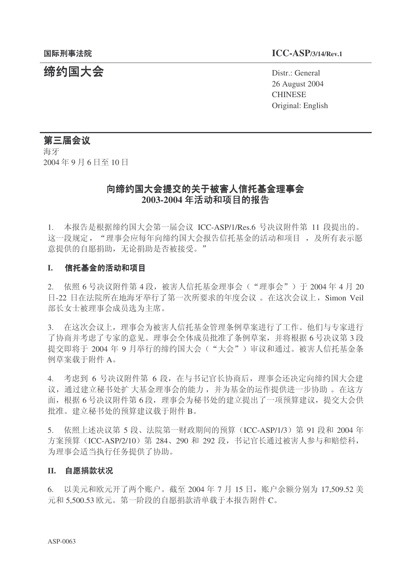#### 䰙ߥџ⊩䰶 **ICC-ASP/3/14/Rev.1**

**缔约国大会** Distr.: General 26 August 2004 **CHINESE** Original: English

#### 第三届会议

海牙 2004年9月6日至10日

## 向缔约国大会提交的关于被害人信托基金理事会 2003-2004 年活动和项目的报告

1. 本报告是根据缔约国大会第一届会议 ICC-ASP/1/Res.6 号决议附件第 11 段提出的。 这一段规定, "理事会应每年向缔约国大会报告信托基金的活动和项目, 及所有表示愿 意提供的自愿捐助,无论捐助是否被接受。"

#### **I.** 信托基金的活动和项目

 $2.$  依照 6 号决议附件第 4 段,被害人信托基金理事会("理事会")于 2004 年 4 月 20 日-22 日在法院所在地海牙举行了第一次所要求的年度会议。在这次会议上, Simon Veil 部长女士被理事会成员洗为主席。

3. 在这次会议上,理事会为被害人信托基金管理条例草案进行了工作。他们与专家进行 了协商并考虑了专家的意见。理事会全体成员批准了条例草案,并将根据6号决议第3段 提交即将于 2004 年 9 月举行的缔约国大会("大会") 审议和通过。被害人信托基金条 例草案载于附件 A。

4. 考虑到 6 号决议附件第 6 段, 在与书记官长协商后, 理事会还决定向缔约国大会建 议, 通过建立秘书处扩大基金的能力, 并为基金的运作提供进一步协助。在这方 面,根据6号决议附件第6段,理事会为秘书处的建立提出了一项预算建议,提交大会供 批准。建立秘书处的预算建议载于附件 B。

5. 依照上述决议第 5 段、法院第一财政期间的预算 (ICC-ASP/1/3) 第 91 段和 2004 年 方案预算 (ICC-ASP/2/10) 第 284、290 和 292 段, 书记官长通过被害人参与和赔偿科, 为理事会适当执行任务提供了协助。

#### II. 自愿捐款状况

6. 以美元和欧元开了两个账户。截至 2004 年 7 月 15 日, 账户余额分别为 17,509.52 美  $\overline{\pi}$ 和 5.500.53 欧元。第一阶段的自愿捐款清单载于本报告附件 C。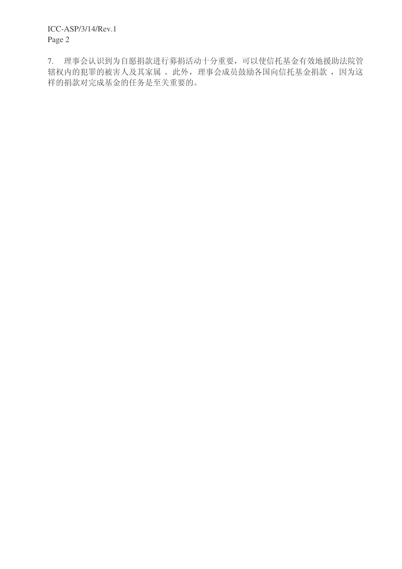7. 理事会认识到为自愿捐款进行募捐活动十分重要,可以使信托基金有效地援助法院管 辖权内的犯罪的被害人及其家属。此外,理事会成员鼓励各国向信托基金捐款,因为这 样的捐款对完成基金的任务是至关重要的。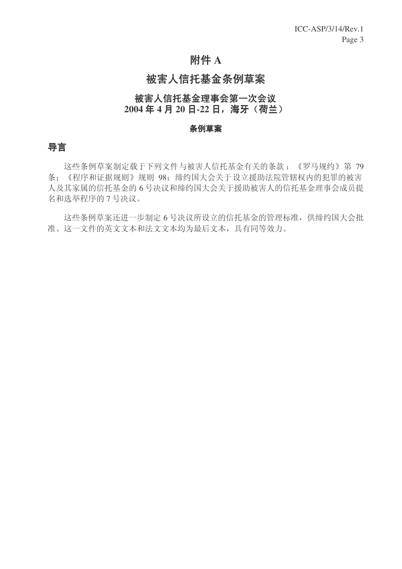# 附件 A

# 被害人信托基金条例草案

## 被害人信托基金理事会第一次会议 2004年4月20日-22日, 海牙 (荷兰)

#### 条例草案

## 导言

这些条例草案制定载于下列文件与被害人信托基金有关的条款:《罗马规约》第79 条;《程序和证据规则》规则 98; 缔约国大会关于设立援助法院管辖权内的犯罪的被害 人及其家属的信托基金的6号决议和缔约国大会关于援助被害人的信托基金理事会成员提 名和选举程序的 7 号决议。

这些条例草案还进一步制定6号决议所设立的信托基金的管理标准, 供缔约国大会批 准。这一文件的英文文本和法文文本均为最后文本,具有同等效力。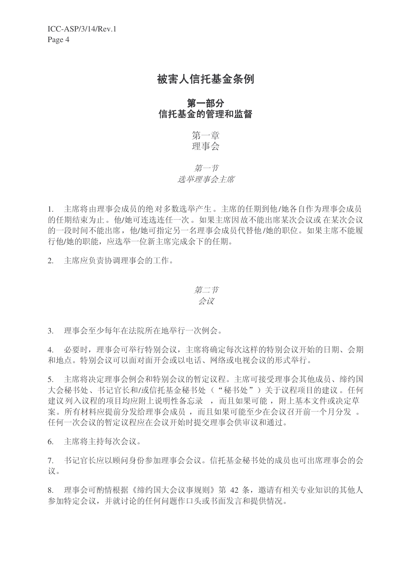# 被害人信托基金条例

## 第一部分 信托基金的管理和监督

第一章 理事会

## 第一节 选举理事会主席

1. 主席将由理事会成员的绝对多数选举产生。主席的任期到他/她各自作为理事会成员 的任期结束为止。他/她可连选连任一次。如果主席因故不能出席某次会议或在某次会议 的一段时间不能出席, 他/她可指定另一名理事会成员代替他/她的职位。如果主席不能履 行他/她的职能, 应选举一位新主席完成余下的任期。

2. 主席应负责协调理事会的工作。

# 第二节

# 会议

3. 理事会至少每年在法院所在地举行一次例会。

4. 必要时,理事会可举行特别会议,主席将确定每次这样的特别会议开始的日期、会期 和地点。特别会议可以面对面开会或以电话、网络或电视会议的形式举行。

5. 主席将决定理事会例会和特别会议的暂定议程。主席可接受理事会其他成员、缔约国 大会秘书处、书记官长和/或信托基金秘书处("秘书处")关于议程项目的建议。任何 建议列入议程的项目均应附上说明性备忘录,而且如果可能,附上基本文件或决定草 客。所有材料应提前分发给理事会成员,而且如果可能至少在会议召开前一个月分发。 任何一次会议的暂定议程应在会议开始时提交理事会供审议和通过。

6. 主席将主持每次会议。

7. 书记官长应以顾问身份参加理事会会议。信托基金秘书处的成员也可出席理事会的会 议。

8. 理事会可酌情根据《缔约国大会议事规则》第 42 条, 邀请有相关专业知识的其他人 参加特定会议,并就讨论的任何问题作口头或书面发言和提供情况。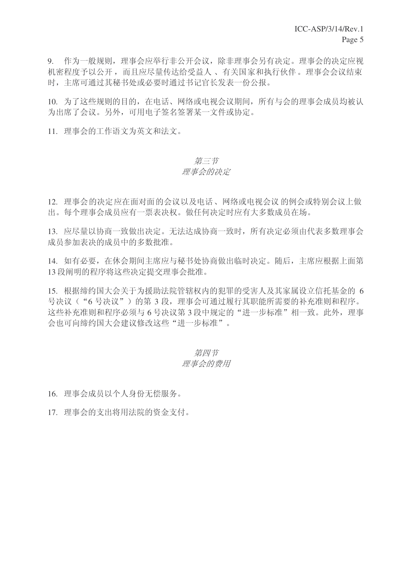9. 作为一般规则,理事会应举行非公开会议,除非理事会另有决定。理事会的决定应视 机密程度予以公开,而且应尽量传达给受益人、有关国家和执行伙伴。理事会会议结束 时, 主席可通过其秘书处或必要时通过书记官长发表一份公报。

10. 为了这些规则的目的, 在电话、网络或电视会议期间, 所有与会的理事会成员均被认 为出席了会议。另外,可用电子签名签署某一文件或协定。

11. 理事会的工作语文为英文和法文。

#### 第三节

#### 理事会的决定

12. 理事会的决定应在面对面的会议以及电话、网络或电视会议的例会或特别会议上做 出。每个理事会成员应有一票表决权。做任何决定时应有大多数成员在场。

13. 应尽量以协商一致做出决定。无法达成协商一致时, 所有决定必须由代表多数理事会 成员参加表决的成员中的多数批准。

14. 如有必要, 在休会期间主席应与秘书处协商做出临时决定。随后, 主席应根据上面第 13 段阐明的程序将这些决定提交理事会批准。

15. 根据缔约国大会关于为援助法院管辖权内的犯罪的受害人及其家属设立信托基金的 6 号决议("6号决议")的第3段,理事会可通过履行其职能所需要的补充准则和程序。 这些补充准则和程序必须与6号决议第3段中规定的"进一步标准"相一致。此外,理事 会也可向缔约国大会建议修改这些"进一步标准"。

> 第四节 理事会的费用

16. 理事会成员以个人身份无偿服务。

17. 理事会的支出将用法院的资金支付。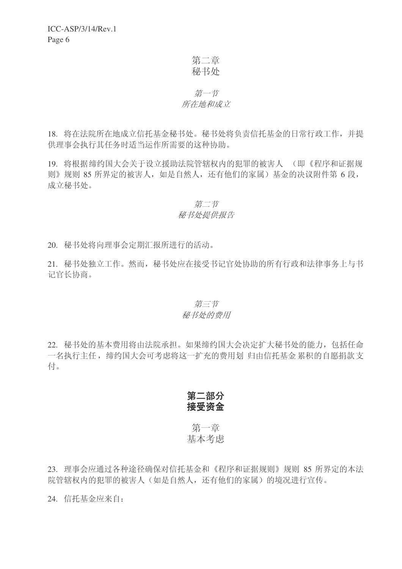第二章 秘书处

## 第一节 所在地和成立

18. 将在法院所在地成立信托基金秘书处。秘书处将负责信托基金的日常行政工作,并提 供理事会执行其任务时适当运作所需要的这种协助。

19. 将根据缔约国大会关于设立援助法院管辖权内的犯罪的被害人 (即《程序和证据规 则》规则 85 所界定的被害人, 如是自然人, 还有他们的家属) 基金的决议附件第 6 段, 成立秘书处。

## 第二节

#### 秘书处提供报告

20. 秘书处将向理事会定期汇报所讲行的活动。

21. 秘书处独立工作。然而, 秘书处应在接受书记官处协助的所有行政和法律事务上与书 记官长协商。

#### 第三节 秘书处的费用

22. 秘书处的基本费用将由法院承担。如果缔约国大会决定扩大秘书处的能力, 包括任命 一名执行主任, 缔约国大会可考虑将这一扩充的费用划 归由信托基金 累积的自愿捐款支 付。

第二部分 接受资金

## 第一章 基本考虑

23. 理事会应通过各种途径确保对信托基金和《程序和证据规则》规则 85 所界定的本法 院管辖权内的犯罪的被害人(如是自然人,还有他们的家属)的境况进行宣传。

24. 信托基金应来自: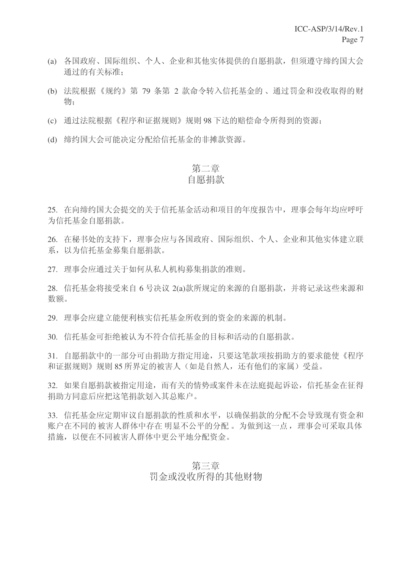- (a) 各国政府、国际组织、个人、企业和其他实体提供的自愿捐款, 但须遵守缔约国大会 通过的有关标准:
- (b) 法院根据《规约》第 79 条第 2 款命令转入信托基金的、通过罚金和没收取得的财 物:
- (c) 通过法院根据《程序和证据规则》规则 98 下达的赔偿命令所得到的资源;
- (d) 缔约国大会可能决定分配给信托基金的非摊款资源。

# 第二章

## 自愿捐款

25. 在向缔约国大会提交的关于信托基金活动和项目的年度报告中, 理事会每年均应呼吁 为信托基金自愿捐款。

26. 在秘书处的支持下, 理事会应与各国政府、国际组织、个人、企业和其他实体建立联 系, 以为信托基金募集自愿捐款。

27. 理事会应通过关于如何从私人机构募集捐款的准则。

28. 信托基金将接受来自 6 号决议 2(a)款所规定的来源的自愿捐款, 并将记录这些来源和 数额。

29. 理事会应建立能便利核实信托基金所收到的资金的来源的机制。

30. 信托基金可拒绝被认为不符合信托基金的目标和活动的自愿捐款。

31. 自愿捐款中的一部分可由捐助方指定用途, 只要这笔款项按捐助方的要求能使《程序 和证据规则》规则85 所界定的被害人(如是自然人,还有他们的家属)受益。

32. 如果自愿捐款被指定用途, 而有关的情势或案件未在法庭提起诉讼, 信托基金在征得 捐助方同意后应把这笔捐款划入其总账户。

33. 信托基金应定期审议自愿捐款的性质和水平, 以确保捐款的分配不会导致现有资金和 账户在不同的 被害人群体中存在 明显不公平的分配。 为做到这一点, 理事会可采取具体 措施, 以便在不同被害人群体中更公平地分配资金。

> 第三章 罚金或没收所得的其他财物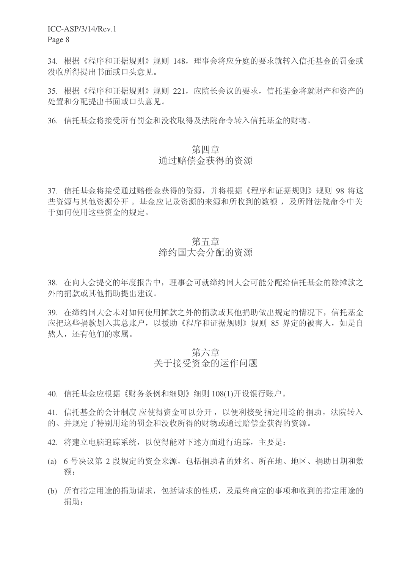ICC-ASP/3/14/Rev.1

Page 8

34. 根据《程序和证据规则》规则 148, 理事会将应分庭的要求就转入信托基金的罚金或 没收所得提出书面或口头意见。

35. 根据《程序和证据规则》规则 221, 应院长会议的要求, 信托基金将就财产和资产的 处置和分配提出书面或口头意见。

36. 信托基金将接受所有罚金和没收取得及法院命令转入信托基金的财物。

## 第四章

## 通过赔偿杂得的资源

37. 信托基金将接受通过赔偿金获得的资源, 并将根据《程序和证据规则》规则 98 将这 些资源与其他资源分开 。 基金应记录资源的来源和所收到的数额 , 及所附法院命令中关 于如何使用这些资金的规定。

## 第五章

# 缔约国大会分配的资源

38. 在向大会提交的年度报告中, 理事会可就缔约国大会可能分配给信托基金的除摊款之 外的捐款或其他捐助提出建议。

39. 在缔约国大会未对如何使用摊款之外的捐款或其他捐助做出规定的情况下, 信托基金 应把这些捐款划入其总账户,以援助《程序和证据规则》规则 85 界定的被害人,如是自 然人,还有他们的家属。

# 第六章 关于接受资金的运作问题

40. 信托基金应根据《财务条例和细则》细则 108(1)开设银行账户。

41. 信托基金的会计制度 应使得资金可以分开, 以便利接受指定用途的捐助, 法院转入 的、并规定了特别用途的罚金和没收所得的财物或通过赔偿金获得的资源。

- 42. 将建立电脑追踪系统, 以使得能对下述方面讲行追踪, 主要是:
- (a) 6 号决议第 2 段规定的资金来源, 包括捐助者的姓名、所在地、地区、捐助日期和数 额:
- (b) 所有指定用途的捐助请求, 包括请求的性质, 及最终商定的事项和收到的指定用途的 捐助: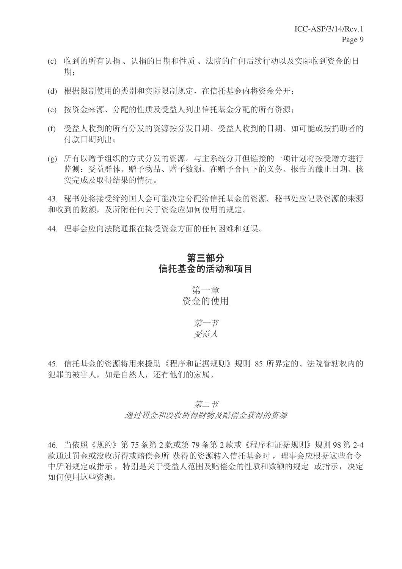- (c) 收到的所有认捐、认捐的日期和性质、法院的任何后续行动以及实际收到资金的日 期:
- (d) 根据限制使用的类别和实际限制规定, 在信托基金内将资金分开:
- (e) 按资金来源、分配的性质及受益人列出信托基金分配的所有资源:
- (f) 受益人收到的所有分发的资源按分发日期、受益人收到的日期、如可能或按捐助者的 付款日期列出:
- (g) 所有以赠予组织的方式分发的资源。与主系统分开但链接的一项计划将按受赠方进行 监测: 受益群体、赠予物品、赠予数额、在赠予合同下的义务、报告的截止日期、核 实完成及取得结果的情况。

43. 秘书处将接受缔约国大会可能决定分配给信托基金的资源。秘书处应记录资源的来源 和收到的数额, 及所附任何关于资金应如何使用的规定。

44. 理事会应向法院通报在接受资金方面的任何困难和延误。

## 第三部分 信托基金的活动和项目

第一章 资金的使用

> 第一节 受益人

45. 信托基金的资源将用来援助《程序和证据规则》规则 85 所界定的、法院管辖权内的 犯罪的被害人, 如是自然人, 还有他们的家属。

## 第二节 通讨罚金和没收所得财物及赔偿金获得的资源

46. 当依照《规约》第 75 条第 2 款或第 79 条第 2 款或《程序和证据规则》规则 98 第 2-4 款通过罚金或没收所得或赔偿金所 获得的资源转入信托基金时, 理事会应根据这些命令 中所附规定或指示, 特别是关于受益人范围及赔偿金的性质和数额的规定 或指示, 决定 如何使用这些资源。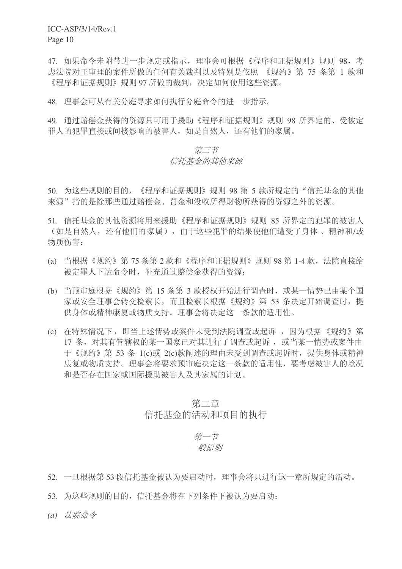47. 如果命令未附带进一步规定或指示, 理事会可根据《程序和证据规则》规则 98, 考 虑法院对正审理的案件所做的任何有关裁判以及特别是依照 《规约》第 75 条第 1 款和 《程序和证据规则》规则 97 所做的裁判, 决定如何使用这些资源。

48. 理事会可从有关分庭寻求如何执行分庭命令的讲一步指示。

49. 通过赔偿金获得的资源只可用于援助《程序和证据规则》规则 98 所界定的、受被定 罪人的犯罪直接或间接影响的被害人,如是自然人,还有他们的家属。

#### 第二节

#### 信托基金的其他来源

50. 为这些规则的目的, 《程序和证据规则》规则 98 第 5 款所规定的"信托基金的其他 来源"指的是除那些通过赔偿金、罚金和没收所得财物所获得的资源之外的资源。

51. 信托基金的其他资源将用来援助《程序和证据规则》规则 85 所界定的犯罪的被害人 (如是自然人,还有他们的家属),由于这些犯罪的结果使他们遭受了身体、精神和/或 物质伤害:

- (a) 当根据《规约》第 75 条第 2 款和《程序和证据规则》规则 98 第 1-4 款, 法院直接给 被定罪人下达命令时, 补充通过赔偿金获得的资源:
- (b) 当预审庭根据《规约》第 15 条第 3 款授权开始进行调查时, 或某一情势已由某个国 家或安全理事会转交检察长,而且检察长根据《规约》第53条决定开始调查时,提 供身体或精神康复或物质支持。理事会将决定这一条款的适用性。
- (c) 在特殊情况下, 即当上述情势或案件未受到法院调杳或起诉, 因为根据《规约》第 17 条, 对其有管辖权的某一国家已对其进行了调查或起诉, 或当某一情势或案件由 于《规约》第 53 条 1(c)或 2(c)款阐述的理由未受到调杳或起诉时, 提供身体或精神 康复或物质支持。理事会将要求预审庭决定这一条款的适用性,要考虑被害人的境况 和是否存在国家或国际援助被害人及其家属的计划。

## 第二章 信托基金的活动和项目的执行

#### 第一节 一般原则

- $52.$  一旦根据第 53 段信托基金被认为要启动时, 理事会将只进行这一章所规定的活动。
- 53. 为这些规则的目的, 信托基金将在下列条件下被认为要启动:
- (a) 法院命令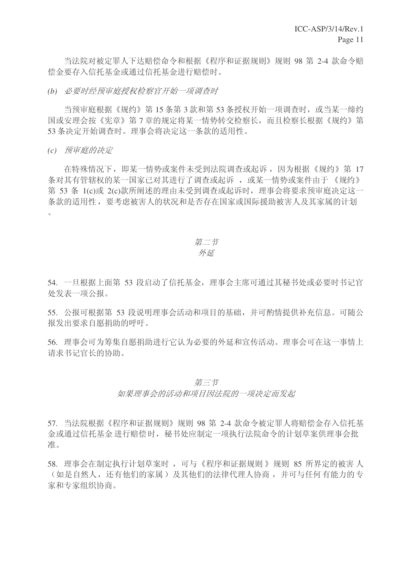当法院对被定罪人下达赔偿命令和根据《程序和证据规则》规则 98 第 2-4 款命令赔 偿金要存入信托基金或通过信托基金讲行赔偿时。

(b) 必要时经预审庭授权检察官开始一项调查时

当预审庭根据《规约》第15 条第3款和第53 条授权开始一项调查时, 或当某一缔约 国或安理会按《宪章》第7章的规定将某一情势转交检察长,而且检察长根据《规约》第 53 条决定开始调查时。理事会将决定这一条款的适用性。

*(c) 预审庭的决定* 

在特殊情况下, 即某一情势或案件未受到法院调杳或起诉, 因为根据《规约》第 17 条对其有管辖权的某一国家已对其进行了调查或起诉, 或某一情势或案件由于《规约》 第 53 条 1(c)或 2(c)款所阐述的理由未受到调查或起诉时, 理事会将要求预审庭决定这一 条款的适用性, 要考虑被害人的状况和是否存在国家或国际援助被害人及其家属的计划  $\overline{O}$ 

#### 第二节 外延

54. 一旦根据上面第 53 段启动了信托基金,理事会主席可通过其秘书处或必要时书记官 处发表一项公报。

55. 公报可根据第 53 段说明理事会活动和项目的基础,并可酌情提供补充信息。可随公 报发出要求自愿捐助的呼吁。

56. 理事会可为筹集自愿捐助进行它认为必要的外延和宣传活动。理事会可在这一事情上 请求书记官长的协助。

## 第二节 如果理事会的活动和项目因法院的一项决定而发起

57. 当法院根据《程序和证据规则》规则 98 第 2-4 款命令被定罪人将赔偿金存入信托基 金或通过信托基金 进行赔偿时, 秘书处应制定一项执行法院命令的计划草案供理事会批 准。

58. 理事会在制定执行计划草案时, 可与《程序和证据规则》规则 85 所界定的被害人 (如是自然人,还有他们的家属)及其他们的法律代理人协商,并可与任何有能力的专 家和专家组织协商。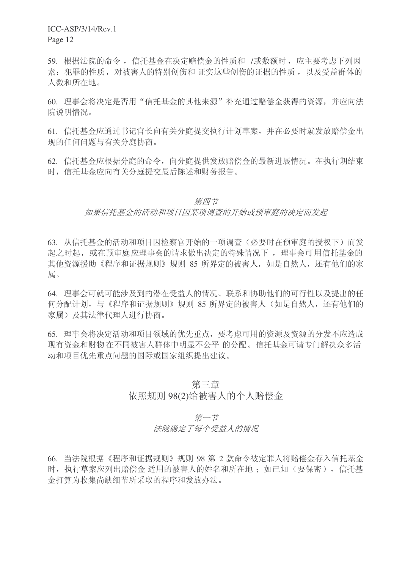59. 根据法院的命令, 信托基金在决定赔偿金的性质和 /或数额时, 应主要考虑下列因 素: 犯罪的性质, 对被害人的特别创伤和 证实这些创伤的证据的性质, 以及受益群体的 人数和所在地。

60. 理事会将决定是否用"信托基金的其他来源"补充通过赔偿金获得的资源,并应向法 院说明情况。

61. 信托基金应通过书记官长向有关分庭提交执行计划草案, 并在必要时就发放赔偿金出 现的任何问题与有关分庭协商。

62. 信托基金应根据分庭的命令, 向分庭提供发放赔偿金的最新进展情况。在执行期结束 时, 信托基金应向有关分庭提交最后陈述和财务报告。

#### 第四节

#### 如果信托基金的活动和项目因某项调查的开始或预审庭的决定而发起

63. 从信托基金的活动和项目因检察官开始的一项调查(必要时在预审庭的授权下)而发 起之时起, 或在预审庭应理事会的请求做出决定的特殊情况下, 理事会可用信托基金的 其他资源援助《程序和证据规则》规则 85 所界定的被害人, 如是自然人, 还有他们的家 属。

64. 理事会可就可能涉及到的潜在受益人的情况、联系和协助他们的可行性以及提出的任 何分配计划, 与《程序和证据规则》规则 85 所界定的被害人(如是自然人, 还有他们的 家属)及其法律代理人进行协商。

65. 理事会将决定活动和项目领域的优先重点, 要考虑可用的资源及资源的分发不应造成 现有资金和财物 在不同被害人群体中明显不公平 的分配。信托基金可请专门解决众多活 动和项目优先重点问题的国际或国家组织提出建议。

#### 第三音

#### 依照规则 98(2)给被害人的个人赔偿金

第一节

#### 法院确定了每个受益人的情况

66. 当法院根据《程序和证据规则》规则 98 第 2 款命令被定罪人将赔偿金存入信托基金 时, 执行草案应列出赔偿金 适用的被害人的姓名和所在地; 如已知(要保密), 信托基 金打算为收集尚缺细节所采取的程序和发放办法。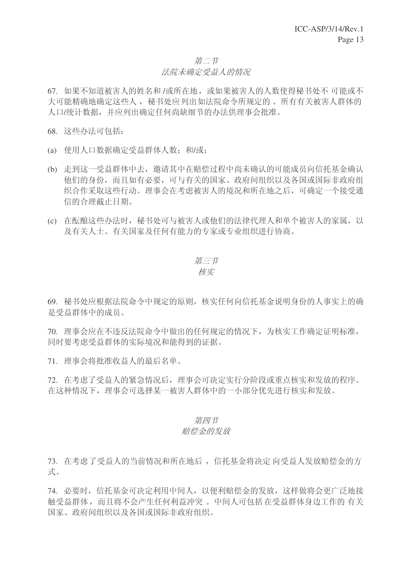# 第二节

#### 法院未确定受益人的情况

67. 如果不知道被害人的姓名和/或所在地,或如果被害人的人数使得秘书处不可能或不 大可能精确地确定这些人, 秘书处应列出如法院命令所规定的、所有有关被害人群体的 人口/统计数据,并应列出确定任何尚缺细节的办法供理事会批准。

68. 这些办法可包括:

- (a) 使用人口数据确定受益群体人数: 和/或:
- (b) 走到这一受益群体中去, 邀请其中在赔偿过程中尚未确认的可能成员向信托基金确认 他们的身份,而且如有必要,可与有关的国家、政府间组织以及各国或国际非政府组 织合作采取这些行动。理事会在考虑被害人的境况和所在地之后,可确定一个接受通 信的合理截止日期。
- (c) 在酝酿这些办法时, 秘书处可与被害人或他们的法律代理人和单个被害人的家属, 以 及有关人士、有关国家及任何有能力的专家或专业组织讲行协商。

ϝ㡖 Ḍᅲ

69. 秘书处应根据法院命令中规定的原则, 核实任何向信托基金说明身份的人事实上的确 是受益群体中的成员。

70. 理事会应在不违反法院命令中做出的任何规定的情况下,为核实工作确定证明标准, 同时要考虑受益群体的实际境况和能得到的证据。

71. 理事会将批准收益人的最后名单。

72. 在考虑了受益人的紧急情况后,理事会可决定实行分阶段或重点核实和发放的程序。 在这种情况下, 理事会可选择某一被害人群体中的一小部分优先讲行核实和发放。

#### 第四节

#### 赔偿金的发放

73. 在考虑了受益人的当前情况和所在地后, 信托基金将决定 向受益人发放赔偿金的方 式。

74. 必要时, 信托基金可决定利用中间人, 以便利赔偿金的发放, 这样做将会更广泛地接 触受益群体,而且将不会产生任何利益冲突。中间人可包括在受益群体身边工作的 有关 国家、政府间组织以及各国或国际非政府组织。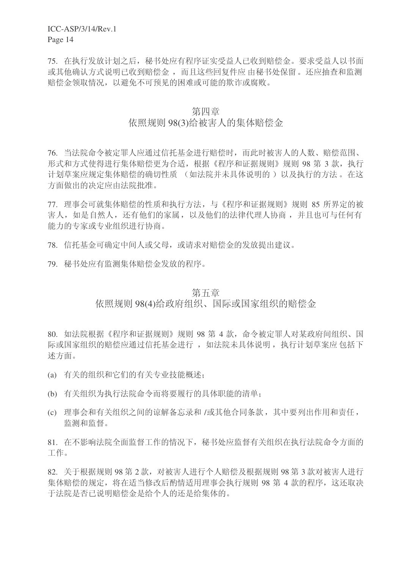ICC-ASP/3/14/Rev.1

Page 14

75. 在执行发放计划之后, 秘书处应有程序证实受益人已收到赔偿金。要求受益人以书面 或其他确认方式说明已收到赔偿金,而且这些回复件应由秘书处保留。还应抽杳和监测 赔偿金领取情况,以避免不可预见的困难或可能的欺诈或腐败。

#### 第四章

## 依照规则 98(3)给被害人的集体赔偿金

76. 当法院命令被定罪人应通过信托基金进行赔偿时,而此时被害人的人数、赔偿范围、 形式和方式使得进行集体赔偿更为合适,根据《程序和证据规则》规则 98 第 3 款,执行 计划草案应规定集体赔偿的确切性质 (如法院并未具体说明的) 以及执行的方法。在这 方面做出的决定应由法院批准。

77. 理事会可就集体赔偿的性质和执行方法, 与《程序和证据规则》规则 85 所界定的被 害人, 如是自然人, 还有他们的家属, 以及他们的法律代理人协商, 并且也可与任何有 能力的专家或专业组织进行协商。

78. 信托基金可确定中间人或父母, 或请求对赔偿金的发放提出建议。

79. 秘书处应有监测集体赔偿金发放的程序。

#### 第五章

## 依照规则 98(4)给政府组织、国际或国家组织的赔偿金

80. 如法院根据《程序和证据规则》规则 98 第 4 款, 命令被定罪人对某政府间组织、国 际或国家组织的赔偿应通讨信托基金讲行, 如法院未具体说明, 执行计划草案应 包括下 述方面。

- (a) 有关的组织和它们的有关专业技能概述:
- (b) 有关组织为执行法院命令而将要履行的具体职能的清单:
- (c) 理事会和有关组织之间的谅解备忘录和 /或其他合同条款, 其中要列出作用和责任, 监测和监督。

81. 在不影响法院全面监督工作的情况下, 秘书处应监督有关组织在执行法院命令方面的 工作。

82. 关于根据规则 98 第 2 款, 对被害人讲行个人赔偿及根据规则 98 第 3 款对被害人讲行 集体赔偿的规定, 将在适当修改后酌情适用理事会执行规则 98 第 4 款的程序, 这还取决 干法院是否已说明赔偿金是给个人的还是给集体的。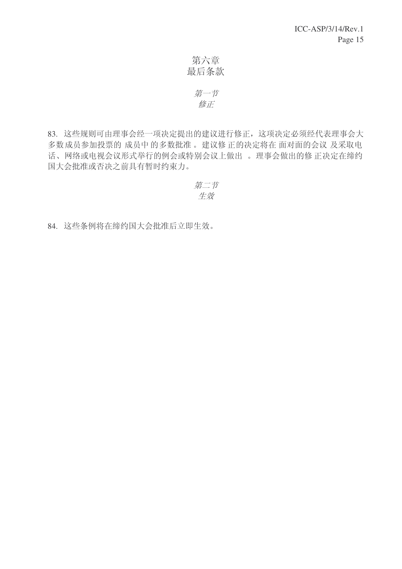第六章 最后条款

## 第一节 修正

83. 这些规则可由理事会经一项决定提出的建议进行修正, 这项决定必须经代表理事会大 多数成员参加投票的成员中的多数批准。建议修正的决定将在面对面的会议及采取电 话、网络或电视会议形式举行的例会或特别会议上做出。理事会做出的修正决定在缔约 国大会批准或否决之前具有暂时约束力。

$$
\begin{array}{c}\n\widehat{\#}\_ \stackrel{+}{\rightarrow} \\
\widehat{\#}\widehat{\mathscr{R}}\n\end{array}
$$

84. 这些条例将在缔约国大会批准后立即生效。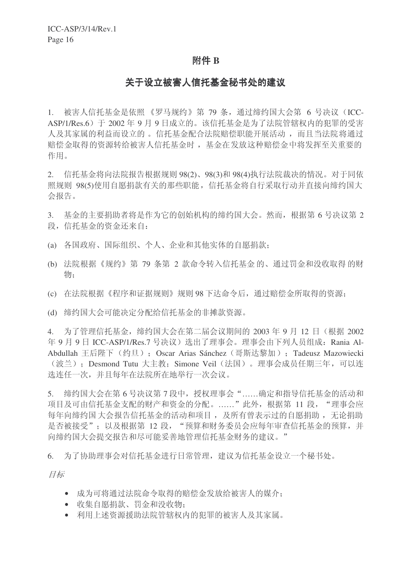#### 附件 B

#### 关于设立被害人信托基金秘书处的建议

1. 被害人信托基金是依照 《罗马规约》第 79 条, 通过缔约国大会第 6 号决议 (ICC-ASP/1/Res.6) 于 2002 年 9 月 9 日成立的。该信托基金是为了法院管辖权内的犯罪的受害 人及其家属的利益而设立的。信托基金配合法院赔偿职能开展活动,而且当法院将通过 赔偿金取得的资源转给被害人信托基金时, 基金在发放这种赔偿金中将发挥至关重要的 作用。

 $2.$  信托基金将向法院报告根据规则 98(2)、98(3)和 98(4)执行法院裁决的情况。对于同依 照规则 98(5)使用自愿捐款有关的那些职能, 信托基金将自行采取行动并直接向缔约国大 会报告。

3. 基金的主要捐助者将是作为它的创始机构的缔约国大会。然而,根据第6号决议第2 段, 信托基金的资金还来自:

- (a) 各国政府、国际组织、个人、企业和其他实体的自愿捐款:
- (b) 法院根据《规约》第 79 条第 2 款命令转入信托基金 的、通过罚金和没收取得 的财 物:
- (c) 在法院根据《程序和证据规则》规则 98 下达命令后, 通过赔偿金所取得的资源:
- (d) 缔约国大会可能决定分配给信托基金的非摊款资源。

4. 为了管理信托基金, 缔约国大会在第二届会议期间的 2003 年 9 月 12 日 (根据 2002 年 9 月 9 日 ICC-ASP/1/Res.7 号决议) 选出了理事会。理事会由下列人员组成: Rania Al-Abdullah 王后陛下 (约旦): Oscar Arias Sánchez (哥斯达黎加): Tadeusz Mazowiecki (波兰): Desmond Tutu 大主教: Simone Veil (法国)。理事会成员任期三年, 可以连 选连任一次,并且每年在法院所在地举行一次会议。

5. 缔约国大会在第6号决议第7段中,授权理事会"……确定和指导信托基金的活动和 项目及可由信托基金支配的财产和资金的分配。……"此外,根据第 11 段, "理事会应 每年向缔约国 大会报告信托基金的活动和项目, 及所有曾表示过的自愿捐助, 无论捐助 是否被接受": 以及根据第 12 段, "预算和财务委员会应每年审查信托基金的预算, 并 向缔约国大会提交报告和尽可能妥善地管理信托基金财务的建议。"

6. 为了协助理事会对信托基金进行日常管理, 建议为信托基金设立一个秘书处。

目标

- 成为可将通过法院命令取得的赔偿金发放给被害人的媒介:
- 收集自愿捐款、罚金和没收物:
- 利用上述资源援助法院管辖权内的犯罪的被害人及其家属。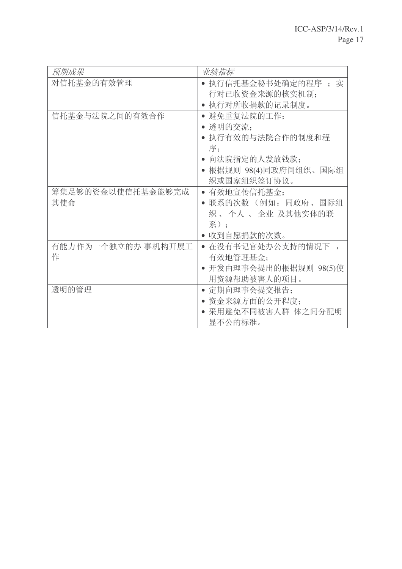| 预期成果               | 业绩指标                    |
|--------------------|-------------------------|
| 对信托基金的有效管理         | • 执行信托基金秘书处确定的程序 ; 实    |
|                    | 行对已收资金来源的核实机制;          |
|                    | • 执行对所收捐款的记录制度。         |
| 信托基金与法院之间的有效合作     | 避免重复法院的工作;<br>$\bullet$ |
|                    | •透明的交流:                 |
|                    | • 执行有效的与法院合作的制度和程       |
|                    | 序:                      |
|                    | 向法院指定的人发放钱款;            |
|                    | ● 根据规则 98(4)同政府间组织、国际组  |
|                    | 织或国家组织签订协议。             |
| 筹集足够的资金以使信托基金能够完成  | 有效地宣传信托基金;              |
| 其使命                | • 联系的次数 (例如: 同政府、国际组    |
|                    | 织 、个人 、 企业 及其他实体的联      |
|                    | 系):                     |
|                    | 收到自愿捐款的次数。              |
| 有能力作为一个独立的办 事机构开展工 | • 在没有书记官处办公支持的情况下 ,     |
| 作                  | 有效地管理基金;                |
|                    | • 开发由理事会提出的根据规则 98(5)使  |
|                    | 用资源帮助被害人的项目。            |
| 诱明的管理              | • 定期向理事会提交报告:           |
|                    | • 资金来源方面的公开程度:          |
|                    | • 采用避免不同被害人群 体之间分配明     |
|                    | 显不公的标准。                 |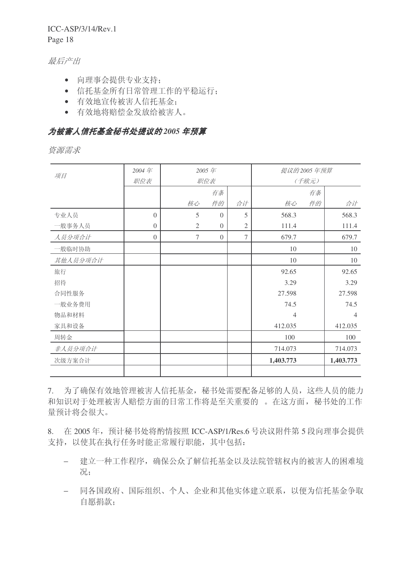# ICC-ASP/3/14/Rev.1

Page 18

#### 最后产出

- 向理事会提供专业支持;
- 信托基金所有日常管理工作的平稳运行:
- 有效地宣传被害人信托基金:
- 有效地将赔偿金发放给被害人。

## 为被害人信托基金秘书处提议的 2005 年预算

资源需求

| 项目       | 2004年    |                | 2005年    |                |           | 提议的2005年预算 |           |
|----------|----------|----------------|----------|----------------|-----------|------------|-----------|
|          | 职位表      |                | 职位表      |                |           | (千欧元)      |           |
|          |          |                | 有条       |                |           | 有条         |           |
|          |          | 核心             | 件的       | 合计             | 核心        | 件的         | 合计        |
| 专业人员     | $\Omega$ | 5              | $\Omega$ | 5              | 568.3     |            | 568.3     |
| 一般事务人员   | $\Omega$ | $\overline{2}$ | $\Omega$ | $\mathfrak{2}$ | 111.4     |            | 111.4     |
| 人员分项合计   | $\Omega$ | $\tau$         | $\Omega$ | 7              | 679.7     |            | 679.7     |
| 一般临时协助   |          |                |          |                | 10        |            | 10        |
| 其他人员分项合计 |          |                |          |                | 10        |            | 10        |
| 旅行       |          |                |          |                | 92.65     |            | 92.65     |
| 招待       |          |                |          |                | 3.29      |            | 3.29      |
| 合同性服务    |          |                |          |                | 27.598    |            | 27.598    |
| 一般业务费用   |          |                |          |                | 74.5      |            | 74.5      |
| 物品和材料    |          |                |          |                | 4         |            | 4         |
| 家具和设备    |          |                |          |                | 412.035   |            | 412.035   |
| 周转金      |          |                |          |                | 100       |            | 100       |
| 非人员分项合计  |          |                |          |                | 714.073   |            | 714.073   |
| 次级方案合计   |          |                |          |                | 1,403.773 |            | 1,403.773 |
|          |          |                |          |                |           |            |           |

7. 为了确保有效地管理被害人信托基金, 秘书处需要配备足够的人员, 这些人员的能力 和知识对于处理被害人赔偿方面的日常工作将是至关重要的。在这方面, 秘书处的工作 量预计将会很大。

8. 在 2005年, 预计秘书处将酌情按照 ICC-ASP/1/Res.6 号决议附件第 5 段向理事会提供 支持, 以使其在执行任务时能正常履行职能, 其中包括:

- − 建立一种工作程序, 确保公众了解信托基金以及法院管辖权内的被害人的困难境 况:
- 同各国政府、国际组织、个人、企业和其他实体建立联系,以便为信托基金争取 自愿捐款;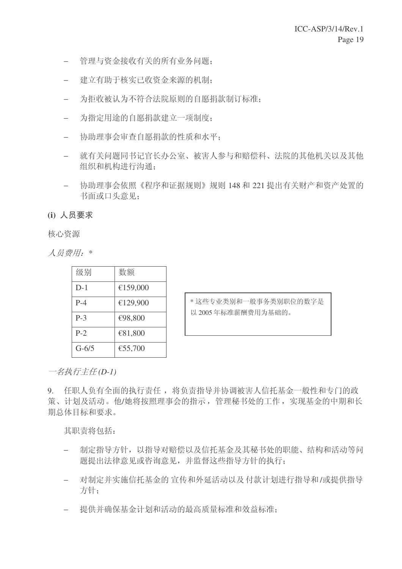- − 管理与资金接收有关的所有业务问题;
- − 建立有助于核实已收资金来源的机制;
- 为拒收被认为不符合法院原则的自愿捐款制订标准;
- − 为指定用途的自愿捐款建立一项制度:
- 协助理事会审查自愿捐款的性质和水平;
- − 就有关问题同书记官长办公室、被害人参与和赔偿科、法院的其他机关以及其他 组织和机构进行沟通:
- − 协助理事会依照《程序和证据规则》规则 148 和 221 提出有关财产和资产处置的 书面或口头意见:

(i) 人员要求

核心资源

人员费用: \*

| 级别        | 数额       |
|-----------|----------|
| $D-1$     | €159,000 |
| $P-4$     | €129,900 |
| $P-3$     | €98,800  |
| $P-2$     | €81,800  |
| $G - 6/5$ | €55,700  |

\* 这些专业类别和一般事务类别职位的数字是 以 2005 年标准薪酬费用为基础的。

一名执行主任 (D-1)

9. 任职人负有全面的执行责任, 将负责指导并协调被害人信托基金一般性和专门的政 策、计划及活动。他/她将按照理事会的指示,管理秘书处的工作,实现基金的中期和长 期总体目标和要求。

其职责将句括:

- 制定指导方针,以指导对赔偿以及信托基金及其秘书处的职能、结构和活动等问 题提出法律意见或咨询意见,并监督这些指导方针的执行:
- − 对制定并实施信托基金的 宣传和外延活动以及 付款计划进行指导和/或提供指导 方针:
- 提供并确保基金计划和活动的最高质量标准和效益标准: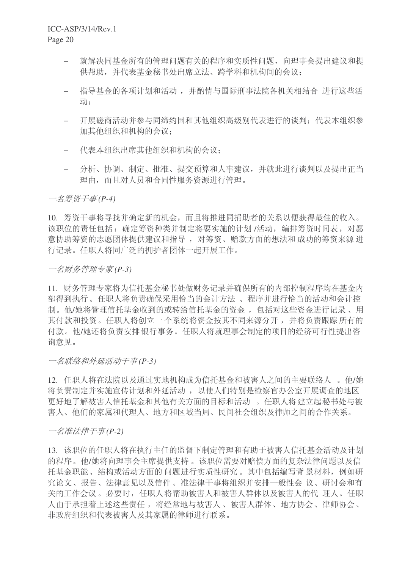- 就解决同基金所有的管理问题有关的程序和实质性问题, 向理事会提出建议和提 供帮助,并代表基金秘书处出席立法、跨学科和机构间的会议:
- 指导基金的各项计划和活动,并酌情与国际刑事法院各机关相结合 进行这些活 动。
- 开展磋商活动并参与同缔约国和其他组织高级别代表进行的谈判;代表本组织参 加其他组织和机构的会议:
- ← 代表本组织出席其他组织和机构的会议:
- − 分析、协调、制定、批准、提交预算和人事建议,并就此进行谈判以及提出正当 理由, 而且对人员和合同性服务资源进行管理。

一名筹资于事(P-4)

10. 筹资干事将寻找并确定新的机会,而且将推进同捐助者的关系以便获得最佳的收入。 该职位的责任包括: 确定筹资种类并制定将要实施的计划 /活动, 编排筹资时间表, 对愿 意协助筹资的志愿团体提供建议和指导, 对筹资、赠款方面的想法和 成功的筹资来源 进 行记录。任职人将同广泛的拥护者团体一起开展工作。

一名财务管理专家(P-3)

11. 财务管理专家将为信托基金秘书处做财务记录并确保所有的内部控制程序均在基金内 部得到执行。任职人将负责确保采用恰当的会计方法、程序并进行恰当的活动和会计控 制。他/她将管理信托基金收到的或转给信托基金的资金, 包括对这些资金讲行记录、用 其付款和投资。任职人将创立一个系统将资金按其不同来源分开,并将负责跟踪所有的 付款。他/她还将负责安排银行事务。任职人将就理事会制定的项目的经济可行性提出咨 询意见。

一名联络和外延活动干事(P-3)

12. 任职人将在法院以及通过实地机构成为信托基金和被害人之间的主要联络人。他/她 将负责制定并实施宣传计划和外延活动, 以使人们特别是检察官办公室开展调查的地区 更好地了解被害人信托基金和其他有关方面的目标和活动。任职人将建立起秘书处与被 害人、他们的家属和代理人、地方和区域当局、民间社会组织及律师之间的合作关系。

一名准法律干事(P-2)

13. 该职位的任职人将在执行主任的监督下制定管理和有助于被害人信托基金活动及计划 的程序。他/她将向理事会主席提供支持。该职位需要对赔偿方面的复杂法律问题以及信 托基金职能、结构或活动方面的问题讲行实质性研究。其中包括编写背景材料,例如研 究论文、报告、法律意见以及信件。准法律干事将组织并安排一般性会 议、研讨会和有 关的工作会议。必要时, 任职人将帮助被害人和被害人群体以及被害人的代 理人。任职 人由于承担着上述这些责任, 将经常地与被害人、被害人群体、地方协会、律师协会、 非政府组织和代表被害人及其家属的律师进行联系。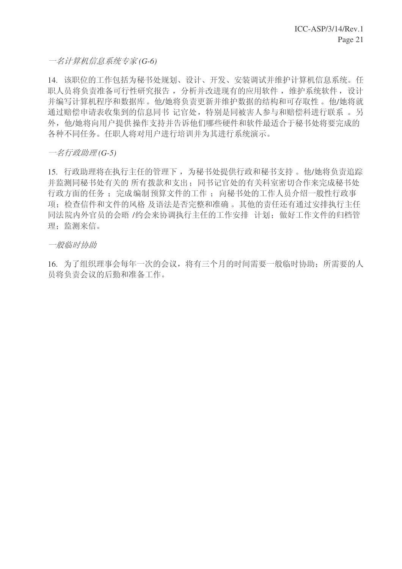一名计算机信息系统专家(G-6)

14. 该职位的工作包括为秘书处规划、设计、开发、安装调试并维护计算机信息系统。任 职人员将负责准备可行性研究报告, 分析并改进现有的应用软件, 维护系统软件, 设计 并编写计算机程序和数据库。他/她将负责更新并维护数据的结构和可存取性。他/她将就 通过赔偿申请表收集到的信息同书 记官处, 特别是同被害人参与和赔偿科进行联系 。另 外, 他/她将向用户提供操作支持并告诉他们哪些硬件和软件最适合于秘书处将要完成的 各种不同任务。任职人将对用户进行培训并为其进行系统演示。

一名行政助理(G-5)

15. 行政助理将在执行主任的管理下, 为秘书处提供行政和秘书支持。他/她将负责追踪 并监测同秘书处有关的 所有拨款和支出:同书记官处的有关科室密切合作来完成秘书处 行政方面的任务;完成编制预算文件的工作;向秘书处的工作人员介绍一般性行政事 项: 检查信件和文件的风格 及语法是否完整和准确。其他的责任还有通过安排执行主任 同法院内外官员的会晤 /约会来协调执行主任的工作安排 计划: 做好工作文件的归档管 理: 监测来信。

一般临时协助

16. 为了组织理事会每年一次的会议, 将有三个月的时间需要一般临时协助: 所需要的人 员将负责会议的后勤和准备工作。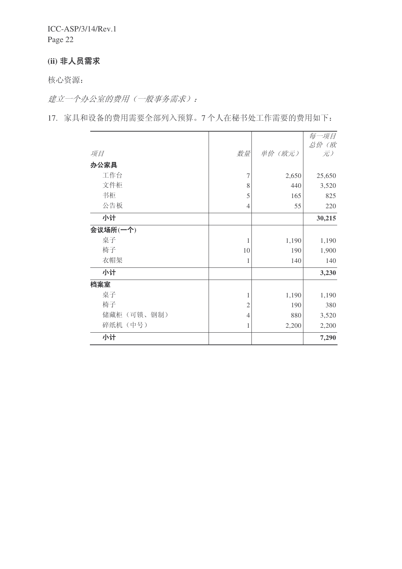# (ii) 非人员需求

核心资源:

建立一个办公室的费用(一般事务需求):

17. 家具和设备的费用需要全部列入预算。7个人在秘书处工作需要的费用如下:

|             |                |         | 每一项目       |
|-------------|----------------|---------|------------|
| 项目          | 数量             | 单价 (欧元) | 总价(欧<br>元) |
| 办公家具        |                |         |            |
| 工作台         | 7              | 2,650   | 25,650     |
| 文件柜         | 8              | 440     | 3,520      |
| 书柜          | $\mathfrak s$  | 165     | 825        |
| 公告板         | $\overline{4}$ | 55      | 220        |
| 小计          |                |         | 30,215     |
| 会议场所(一个)    |                |         |            |
| 桌子          | 1              | 1,190   | 1,190      |
| 椅子          | 10             | 190     | 1,900      |
| 衣帽架         | 1              | 140     | 140        |
| 小计          |                |         | 3,230      |
| 档案室         |                |         |            |
| 桌子          | 1              | 1,190   | 1,190      |
| 椅子          | $\overline{2}$ | 190     | 380        |
| 储藏柜 (可锁、钢制) | 4              | 880     | 3,520      |
| 碎纸机(中号)     | 1              | 2,200   | 2,200      |
| 小计          |                |         | 7,290      |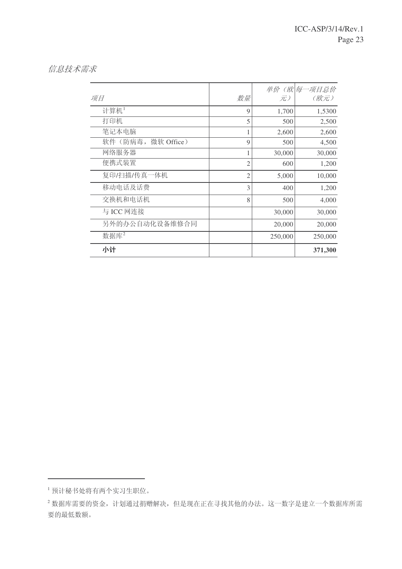## 信息技术需求

| 项目                    | 数量             | 元)      | 单价 (欧 每一项目总价<br>(欧元) |
|-----------------------|----------------|---------|----------------------|
| 计算机1                  | 9              | 1,700   | 1,5300               |
| 打印机                   | 5              | 500     | 2,500                |
| 笔记本电脑                 |                | 2,600   | 2,600                |
| 软件(防病毒,<br>微软 Office) | 9              | 500     | 4,500                |
| 网络服务器                 |                | 30,000  | 30,000               |
| 便携式装置                 | $\overline{2}$ | 600     | 1,200                |
| 复印/扫描/传真一体机           | 2              | 5,000   | 10,000               |
| 移动电话及话费               | 3              | 400     | 1,200                |
| 交换机和电话机               | 8              | 500     | 4,000                |
| 与 ICC 网连接             |                | 30,000  | 30,000               |
| 另外的办公自动化设备维修合同        |                | 20,000  | 20,000               |
| 数据库2                  |                | 250,000 | 250,000              |
| 小计                    |                |         | 371,300              |

<sup>1</sup> 预计秘书处将有两个实习生职位。

 $^{-2}$ 数据库需要的资金, 计划通过捐赠解决, 但是现在正在寻找其他的办法。这一数字是建立一个数据库所需 要的最低数额。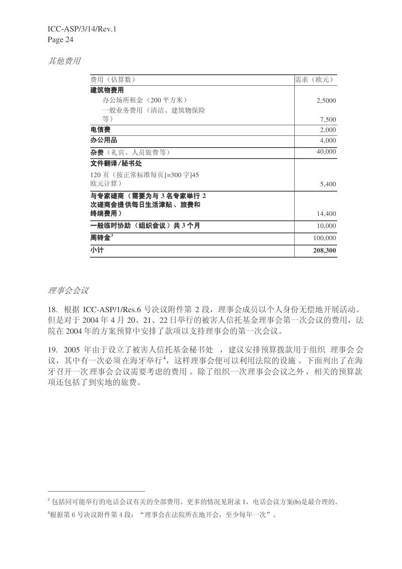ICC-ASP/3/14/Rev.1

Page 24

### 其他费用

| 费用 (估算数)                    | 需求(欧元)  |
|-----------------------------|---------|
| 建筑物费用                       |         |
| 办公场所租金(200平方米)              | 2,5000  |
| 一般业务费用(清洁、建筑物保险             |         |
| 等)                          | 7,500   |
| 电信费                         | 2,000   |
| 办公用品                        | 4,000   |
| <b>杂费</b> (礼宾、人员旅费等)        | 40,000  |
| 文件翻译/秘书处                    |         |
| 120 页 (按正常标准每页[=300 字]45    |         |
| 欧元计算)                       | 5,400   |
| 与专家磋商 (需要为与 3名专家举行 2        |         |
| 次磋商会提 供每日生活津贴 、旅费和<br>终端费用) |         |
|                             | 14,400  |
| 一般临时协助 (组织会议) 共3个月          | 10,000  |
| 周转金 $3$                     | 100,000 |
| 小计                          | 208,300 |

理事会会议

18. 根据 ICC-ASP/1/Res.6 号决议附件第 2 段, 理事会成员以个人身份无偿地开展活动。 但是对于2004年4月20、21、22日举行的被害人信托基金理事会第一次会议的费用,法 院在 2004 年的方案预算中安排了款项以支持理事会的第一次会议。

19. 2005 年由于设立了被害人信托基金秘书处, 建议安排预算拨款用于组织 理事会会 议,其中有一次必须在海牙举行4,这样理事会便可以利用法院的设施。下面列出了在海 牙召开一次理事会会议需要考虑的费用。除了组织一次理事会会议之外,相关的预算款 项还包括了到实地的旅费。

 $3$ 包括同可能举行的电话会议有关的全部费用。更多的情况见附录1, 电话会议方案(b)是最合理的。

<sup>4</sup>根据第6号决议附件第4段: "理事会在法院所在地开会, 至少每年一次"。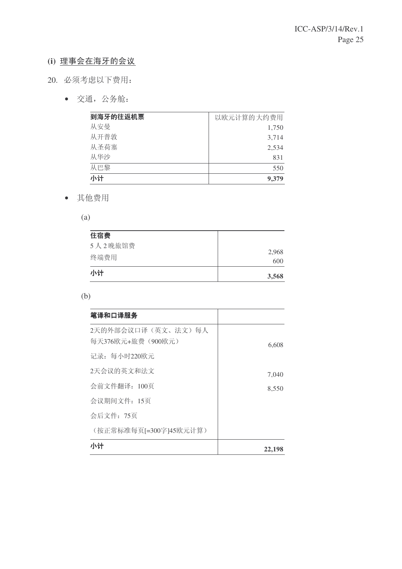# (i) 理事会在海牙的会议

- 20. 必须考虑以下费用:
	- 交通, 公务舱:

| 到海牙的往返机票 | 以欧元计算的大约费用 |
|----------|------------|
| 从安曼      | 1,750      |
| 从开普敦     | 3,714      |
| 从圣荷寨     | 2,534      |
| 从华沙      | 831        |
| 从巴黎      | 550        |
| 小计       | 9,379      |

• 其他费用

(a)

| 小计      | 3,568 |
|---------|-------|
| 终端费用    | 600   |
| 5人2晚旅馆费 | 2,968 |
| 住宿费     |       |

(b)

| 笔译和口译服务                                 |        |
|-----------------------------------------|--------|
| 2天的外部会议口译(英文、法文)每人<br>每天376欧元+旅费(900欧元) | 6,608  |
| 记录: 每小时220欧元                            |        |
| 2天会议的英文和法文                              | 7,040  |
| 会前文件翻译: 100页                            | 8,550  |
| 会议期间文件: 15页                             |        |
| 会后文件: 75页                               |        |
| (按正常标准每页[=300字]45欧元计算)                  |        |
| 小计                                      | 22,198 |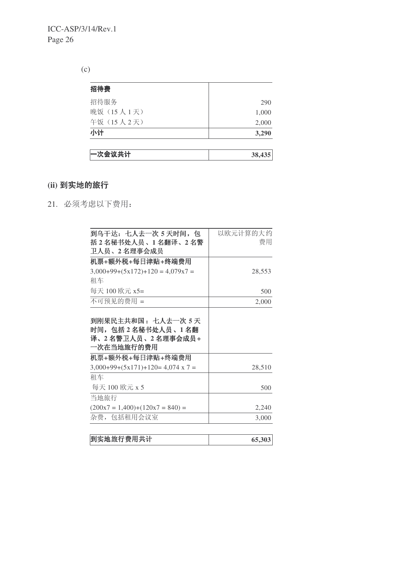(c)

| 招待费        |       |
|------------|-------|
| 招待服务       | 290   |
| 晚饭 (15人1天) | 1,000 |
| 午饭 (15人2天) | 2,000 |
| 小计         | 3,290 |

# (ii) 到实地的旅行

21. 必须考虑以下费用:

| 到乌干达:七人去一次 5 天时间,包                                                         | 以欧元计算的大约 |
|----------------------------------------------------------------------------|----------|
| 括 2 名秘书处人员、1 名翻译、2 名警                                                      | 费用       |
| 卫人员、2 名理事会成员                                                               |          |
| 机票+额外税+每日津贴+终端费用                                                           |          |
| $3,000+99+(5x172)+120 = 4,079x7 =$                                         | 28,553   |
| 租车                                                                         |          |
| 每天 100 欧元 x5=                                                              | 500      |
| 不可预见的费用 =                                                                  | 2,000    |
| 到刚果民主共和国: 七人去一次 5 天<br>时间,包括2名秘书处人员、1名翻<br>译、2名警卫人员、2名理事会成员+<br>一次在当地旅行的费用 |          |
| 机票+额外税+每日津贴+终端费用                                                           |          |
| $3,000+99+(5x171)+120=4,074 \times 7=$                                     | 28,510   |
| 租车                                                                         |          |
| 每天 100 欧元 x 5                                                              | 500      |
| 当地旅行                                                                       |          |
| $(200x7 = 1,400)+(120x7 = 840) =$                                          | 2,240    |
| 杂费,包括租用会议室                                                                 | 3,000    |
|                                                                            |          |

| 到实地旅行费用共计 | 65,303 |
|-----------|--------|
|           |        |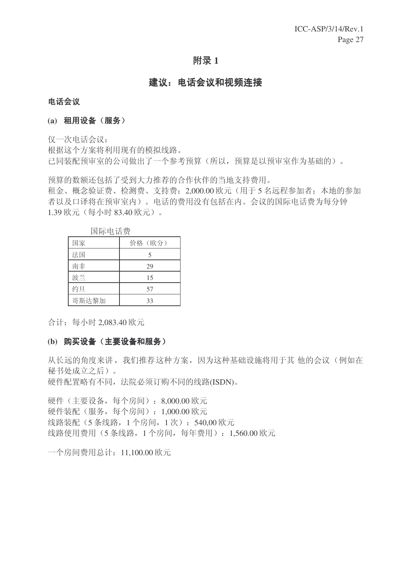## **附录1**

# 建议: 电话会议和视频连接

#### 电话会议

#### (a) 租用设备(服务)

仅一次电话会议:

根据这个方案将利用现有的模拟线路。 已同装配预审室的公司做出了一个参考预算(所以, 预算是以预审室作为基础的)。

预算的数额还包括了受到大力推荐的合作伙伴的当地支持费用。

和金、概念验证费、检测费、支持费: 2.000.00 欧元(用于5名远程参加者: 本地的参加 者以及口译将在预审室内)。电话的费用没有包括在内。会议的国际电话费为每分钟 1.39 欧元 (每小时 83.40 欧元)。

| 国际甲店费 |        |
|-------|--------|
| 国家    | 价格(欧分) |
| 法国    | 5      |
| 南非    | 29     |
| 波兰    | 15     |
| 约旦    | 57     |
| 哥斯达黎加 | 33     |

䰙⬉䆱䌍

合计: 每小时 2,083.40 欧元

#### (b) 购买设备 (主要设备和服务)

从长远的角度来讲, 我们推荐这种方案, 因为这种基础设施将用于其 他的会议(例如在 秘书处成立之后)。

硬件配置略有不同, 法院必须订购不同的线路(ISDN)。

硬件(主要设备,每个房间): 8,000.00 欧元 硬件装配(服务,每个房间): 1,000.00 欧元 线路装配 (5 条线路, 1 个房间, 1 次): 540.00 欧元 线路使用费用(5条线路, 1个房间, 每年费用): 1,560.00 欧元

一个房间费用总计: 11,100.00 欧元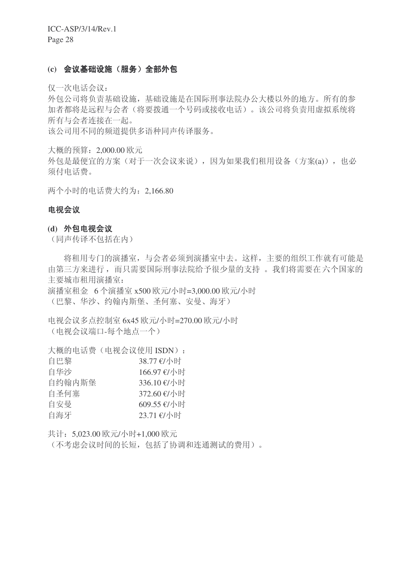#### (c) 会议基础设施(服务)全部外包

仅一次电话会议:

外包公司将负责基础设施, 基础设施是在国际刑事法院办公大楼以外的地方。所有的参 加者都将是远程与会者(将要拨通一个号码或接收电话)。该公司将负责用虚拟系统将 所有与会者连接在一起。

该公司用不同的频道提供多语种同声传译服务。

大概的预算: 2,000.00 欧元

外包是最便宜的方案(对于一次会议来说),因为如果我们租用设备(方案(a)),也必 须付电话费。

两个小时的电话费大约为: 2,166.80

#### 电视会议

#### (d) 外包电视会议

(同声传译不包括在内)

将租用专门的演播室,与会者必须到演播室中去。这样,主要的组织工作就有可能是 由第三方来进行,而只需要国际刑事法院给予很少量的支持。我们将需要在六个国家的 主要城市和用演播室:

演播室租金 6 个演播室 x500 欧元/小时=3,000.00 欧元/小时 (巴黎、华沙、约翰内斯堡、圣何塞、安曼、海牙)

电视会议多点控制室 6x45 欧元/小时=270.00 欧元/小时 (电视会议端口-每个地点一个)

大概的电话费(电视会议使用 ISDN):

| 自巴黎    | 38.77 €/小时  |
|--------|-------------|
| 自华沙    | 166.97 €/小时 |
| 自约翰内斯堡 | 336.10 €/小时 |
| 自圣何塞   | 372.60 €/小时 |
| 自安曼    | 609.55 €/小时 |
| 自海牙    | 23.71 €/小时  |

共计: 5,023.00 欧元/小时+1,000 欧元

(不考虑会议时间的长短,包括了协调和连通测试的费用)。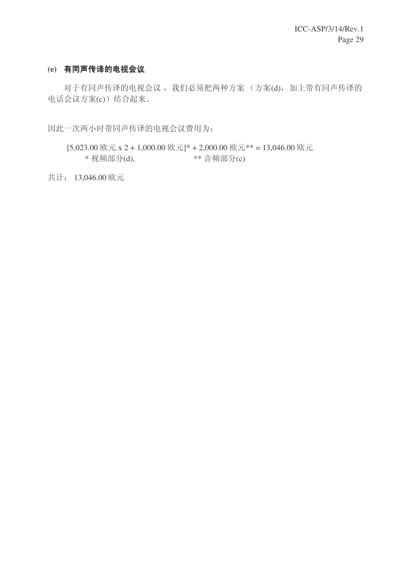# (e) 有同声传译的电视会议

对于有同声传译的电视会议, 我们必须把两种方案 (方案(d), 加上带有同声传译的 电话会议方案(c)) 结合起来。

因此一次两小时带同声传译的电视会议费用为:

 $[5,023.00 \times \vec{\pi} \times 2 + 1,000.00 \times \vec{\pi}]$ \* + 2,000.00 欧元\*\* = 13,046.00 欧元  $*$  视频部分(d),  $*$   $*$  音频部分(c)

共计: 13,046.00 欧元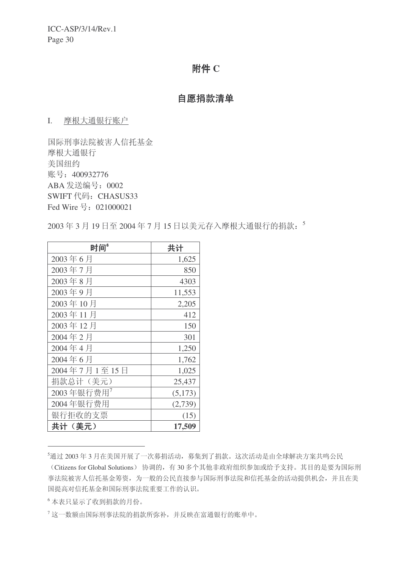## 附件 C

## 自愿捐款清单

#### I. 摩根大通银行账户

国际刑事法院被害人信托基金 摩根大通银行 美国纽约 账号: 400932776 ABA 发送编号: 0002 SWIFT 代码: CHASUS33 Fed Wire 号: 021000021

2003年3月19日至2004年7月15日以美元存入摩根大通银行的捐款: 5

| 时间 <sup>6</sup>        | 共计      |
|------------------------|---------|
| 2003年6月                | 1,625   |
| 2003年7月                | 850     |
| 2003年8月                | 4303    |
| 2003年9月                | 11,553  |
| 2003年10月               | 2,205   |
| 2003年11月               | 412     |
| 2003年12月               | 150     |
| 2004年2月                | 301     |
| 2004年4月                | 1,250   |
| 2004年6月                | 1,762   |
| 2004年7月1至15日           | 1,025   |
| 捐款总计(美元)               | 25,437  |
| 2003年银行费用 <sup>7</sup> | (5,173) |
| 2004年银行费用              | (2,739) |
| 银行拒收的支票                | (15)    |
| 共计(美元)                 | 17,509  |

5通过 2003年3月在美国开展了一次募捐活动,募集到了捐款。这次活动是由全球解决方案共鸣公民

(Citizens for Global Solutions) 协调的, 有30多个其他非政府组织参加或给予支持。其目的是要为国际刑 事法院被害人信托基金筹资,为一般的公民直接参与国际刑事法院和信托基金的活动提供机会,并且在美 国提高对信托基金和国际刑事法院重要工作的认识。

6 本表只显示了收到捐款的月份。

 $7$ 这一数额由国际刑事法院的捐款所弥补,并反映在富通银行的账单中。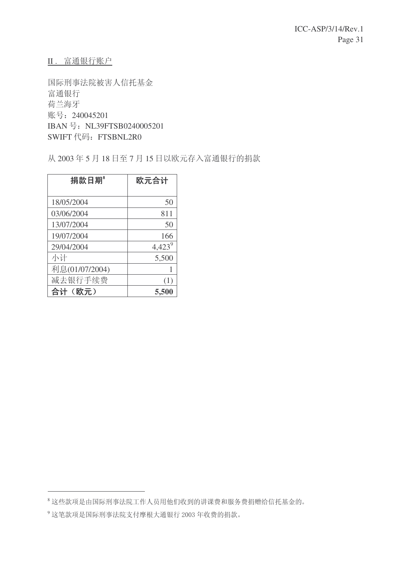II. 富通银行账户

国际刑事法院被害人信托基金 富通银行 荷兰海牙 账号: 240045201 IBAN 号: NL39FTSB0240005201 SWIFT 代码: FTSBNL2R0

从 2003年5月18日至7月15日以欧元存入富通银行的捐款

| 捐款日期           | 欧元合计      |
|----------------|-----------|
|                |           |
| 18/05/2004     | 50        |
| 03/06/2004     | 811       |
| 13/07/2004     | 50        |
| 19/07/2004     | 166       |
| 29/04/2004     | $4,423^9$ |
| 小计             | 5,500     |
| 利息(01/07/2004) |           |
| 减去银行手续费        | (1)       |
| 合计(欧元)         | 5,500     |

<sup>&</sup>lt;sup>8</sup>这些款项是由国际刑事法院工作人员用他们收到的讲课费和服务费捐赠给信托基金的。

<sup>9</sup> 这笔款项是国际刑事法院支付摩根大通银行 2003 年收费的捐款。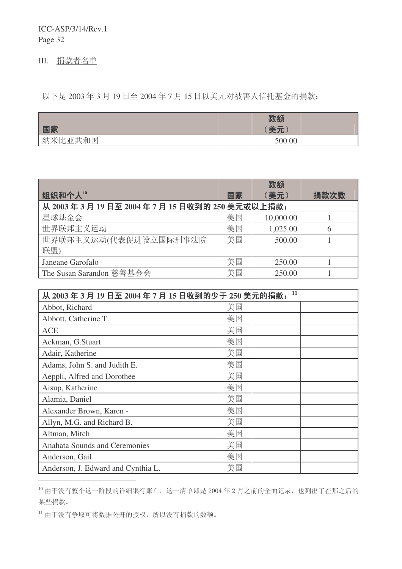III. 捐款者名单

以下是 2003年3月19日至 2004年7月15日以美元对被害人信托基金的捐款:

| 国家      | 数额<br>(美元) |  |
|---------|------------|--|
| 纳米比亚共和国 | 500.00     |  |

|                                          |    | 数额        |      |
|------------------------------------------|----|-----------|------|
| 组织和个人"                                   | 国家 | (美元)      | 捐款次数 |
| 从 2003年3月19日至 2004年7月15日收到的 250 美元或以上捐款: |    |           |      |
| 星球基金会                                    | 美国 | 10,000.00 |      |
| 世界联邦主义运动                                 | 美国 | 1,025.00  | 6    |
| 世界联邦主义运动(代表促进设立国际刑事法院                    | 美国 | 500.00    |      |
| 联盟)                                      |    |           |      |
| Janeane Garofalo                         | 美国 | 250.00    |      |
| The Susan Sarandon 慈善基金会                 | 美国 | 250.00    |      |

| 11<br>从 2003 年 3 月 19 日至 2004 年 7 月 15 日收到的少于 250 美元的捐款: |    |  |  |  |
|----------------------------------------------------------|----|--|--|--|
| Abbot, Richard                                           | 美国 |  |  |  |
| Abbott, Catherine T.                                     | 美国 |  |  |  |
| <b>ACE</b>                                               | 美国 |  |  |  |
| Ackman, G.Stuart                                         | 美国 |  |  |  |
| Adair, Katherine                                         | 美国 |  |  |  |
| Adams, John S. and Judith E.                             | 美国 |  |  |  |
| Aeppli, Alfred and Dorothee                              | 美国 |  |  |  |
| Aisup, Katherine                                         | 美国 |  |  |  |
| Alamia, Daniel                                           | 美国 |  |  |  |
| Alexander Brown, Karen -                                 | 美国 |  |  |  |
| Allyn, M.G. and Richard B.                               | 美国 |  |  |  |
| Altman, Mitch                                            | 美国 |  |  |  |
| <b>Anahata Sounds and Ceremonies</b>                     | 美国 |  |  |  |
| Anderson, Gail                                           | 美国 |  |  |  |
| Anderson, J. Edward and Cynthia L.                       | 美国 |  |  |  |

<sup>10</sup> 由于没有整个这一阶段的详细银行账单,这一清单即是2004年2月之前的全面记录,也列出了在那之后的 某些捐款。

 $^{11}$ 由于没有争取可将数据公开的授权,所以没有捐款的数额。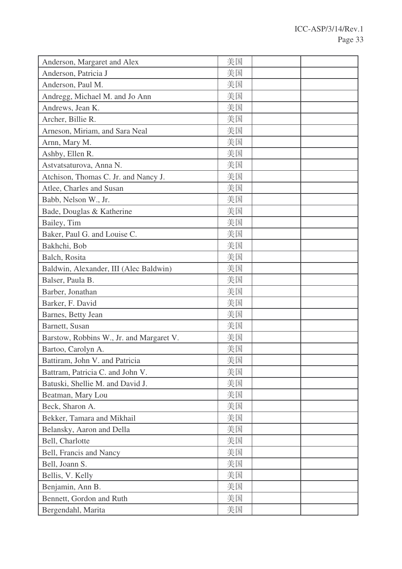| Anderson, Margaret and Alex              | 美国 |  |
|------------------------------------------|----|--|
| Anderson, Patricia J                     | 美国 |  |
| Anderson, Paul M.                        | 美国 |  |
| Andregg, Michael M. and Jo Ann           | 美国 |  |
| Andrews, Jean K.                         | 美国 |  |
| Archer, Billie R.                        | 美国 |  |
| Arneson, Miriam, and Sara Neal           | 美国 |  |
| Arnn, Mary M.                            | 美国 |  |
| Ashby, Ellen R.                          | 美国 |  |
| Astvatsaturova, Anna N.                  | 美国 |  |
| Atchison, Thomas C. Jr. and Nancy J.     | 美国 |  |
| Atlee, Charles and Susan                 | 美国 |  |
| Babb, Nelson W., Jr.                     | 美国 |  |
| Bade, Douglas & Katherine                | 美国 |  |
| Bailey, Tim                              | 美国 |  |
| Baker, Paul G. and Louise C.             | 美国 |  |
| Bakhchi, Bob                             | 美国 |  |
| Balch, Rosita                            | 美国 |  |
| Baldwin, Alexander, III (Alec Baldwin)   | 美国 |  |
| Balser, Paula B.                         | 美国 |  |
| Barber, Jonathan                         | 美国 |  |
| Barker, F. David                         | 美国 |  |
| Barnes, Betty Jean                       | 美国 |  |
| Barnett, Susan                           | 美国 |  |
| Barstow, Robbins W., Jr. and Margaret V. | 美国 |  |
| Bartoo, Carolyn A.                       | 美国 |  |
| Battiram, John V. and Patricia           | 美国 |  |
| Battram, Patricia C. and John V.         | 美国 |  |
| Batuski, Shellie M. and David J.         | 美国 |  |
| Beatman, Mary Lou                        | 美国 |  |
| Beck, Sharon A.                          | 美国 |  |
| Bekker, Tamara and Mikhail               | 美国 |  |
| Belansky, Aaron and Della                | 美国 |  |
| Bell, Charlotte                          | 美国 |  |
| Bell, Francis and Nancy                  | 美国 |  |
| Bell, Joann S.                           | 美国 |  |
| Bellis, V. Kelly                         | 美国 |  |
| Benjamin, Ann B.                         | 美国 |  |
| Bennett, Gordon and Ruth                 | 美国 |  |
| Bergendahl, Marita                       | 美国 |  |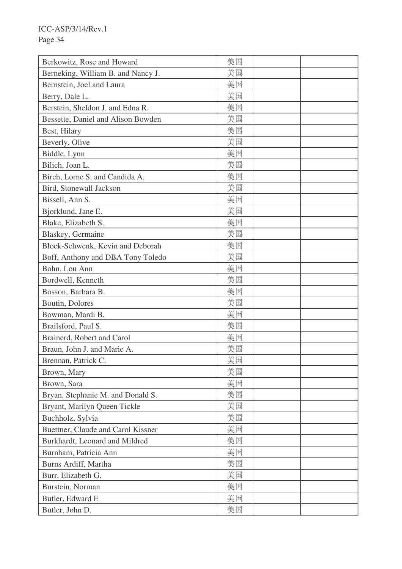| Berkowitz, Rose and Howard         | 美国 |  |
|------------------------------------|----|--|
| Berneking, William B. and Nancy J. | 美国 |  |
| Bernstein, Joel and Laura          | 美国 |  |
| Berry, Dale L.                     | 美国 |  |
| Berstein, Sheldon J. and Edna R.   | 美国 |  |
| Bessette, Daniel and Alison Bowden | 美国 |  |
| Best, Hilary                       | 美国 |  |
| Beverly, Olive                     | 美国 |  |
| Biddle, Lynn                       | 美国 |  |
| Bilich, Joan L.                    | 美国 |  |
| Birch, Lorne S. and Candida A.     | 美国 |  |
| Bird, Stonewall Jackson            | 美国 |  |
| Bissell, Ann S.                    | 美国 |  |
| Bjorklund, Jane E.                 | 美国 |  |
| Blake, Elizabeth S.                | 美国 |  |
| Blaskey, Germaine                  | 美国 |  |
| Block-Schwenk, Kevin and Deborah   | 美国 |  |
| Boff, Anthony and DBA Tony Toledo  | 美国 |  |
| Bohn, Lou Ann                      | 美国 |  |
| Bordwell, Kenneth                  | 美国 |  |
| Bosson, Barbara B.                 | 美国 |  |
| Boutin, Dolores                    | 美国 |  |
| Bowman, Mardi B.                   | 美国 |  |
| Brailsford, Paul S.                | 美国 |  |
| Brainerd, Robert and Carol         | 美国 |  |
| Braun, John J. and Marie A.        | 美国 |  |
| Brennan, Patrick C.                | 美国 |  |
| Brown, Mary                        | 美国 |  |
| Brown, Sara                        | 美国 |  |
| Bryan, Stephanie M. and Donald S.  | 美国 |  |
| Bryant, Marilyn Queen Tickle       | 美国 |  |
| Buchholz, Sylvia                   | 美国 |  |
| Buettner, Claude and Carol Kissner | 美国 |  |
| Burkhardt, Leonard and Mildred     | 美国 |  |
| Burnham, Patricia Ann              | 美国 |  |
| Burns Ardiff, Martha               | 美国 |  |
| Burr, Elizabeth G.                 | 美国 |  |
| Burstein, Norman                   | 美国 |  |
| Butler, Edward E                   | 美国 |  |
| Butler, John D.                    | 美国 |  |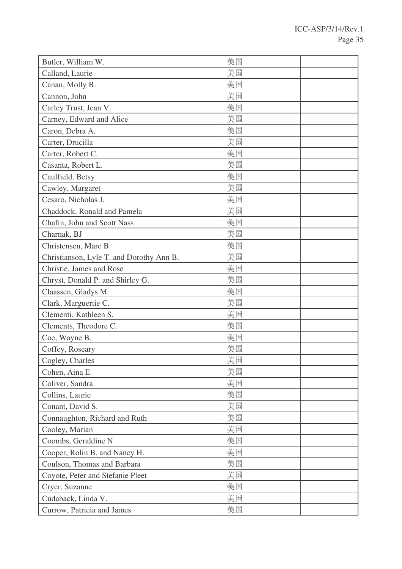| Butler, William W.                       | 美国 |  |
|------------------------------------------|----|--|
| Calland, Laurie                          | 美国 |  |
| Canan, Molly B.                          | 美国 |  |
| Cannon, John                             | 美国 |  |
| Carley Trust, Jean V.                    | 美国 |  |
| Carney, Edward and Alice                 | 美国 |  |
| Caron, Debra A.                          | 美国 |  |
| Carter, Drucilla                         | 美国 |  |
| Carter, Robert C.                        | 美国 |  |
| Casanta, Robert L.                       | 美国 |  |
| Caulfield, Betsy                         | 美国 |  |
| Cawley, Margaret                         | 美国 |  |
| Cesaro, Nicholas J.                      | 美国 |  |
| Chaddock, Ronald and Pamela              | 美国 |  |
| Chafin, John and Scott Nass              | 美国 |  |
| Charnak, BJ                              | 美国 |  |
| Christensen, Marc B.                     | 美国 |  |
| Christianson, Lyle T. and Dorothy Ann B. | 美国 |  |
| Christie, James and Rose                 | 美国 |  |
| Chryst, Donald P. and Shirley G.         | 美国 |  |
| Claassen, Gladys M.                      | 美国 |  |
| Clark, Marguertie C.                     | 美国 |  |
| Clementi, Kathleen S.                    | 美国 |  |
| Clements, Theodore C.                    | 美国 |  |
| Coe, Wayne B.                            | 美国 |  |
| Coffey, Roseary                          | 美国 |  |
| Cogley, Charles                          | 美国 |  |
| Cohen, Aina E.                           | 美国 |  |
| Coliver, Sandra                          | 美国 |  |
| Collins, Laurie                          | 美国 |  |
| Conant, David S.                         | 美国 |  |
| Connaughton, Richard and Ruth            | 美国 |  |
| Cooley, Marian                           | 美国 |  |
| Coombs, Geraldine N                      | 美国 |  |
| Cooper, Rolin B. and Nancy H.            | 美国 |  |
| Coulson, Thomas and Barbara              | 美国 |  |
| Coyote, Peter and Stefanie Pleet         | 美国 |  |
| Cryer, Suzanne                           | 美国 |  |
| Cudaback, Linda V.                       | 美国 |  |
| Currow, Patricia and James               | 美国 |  |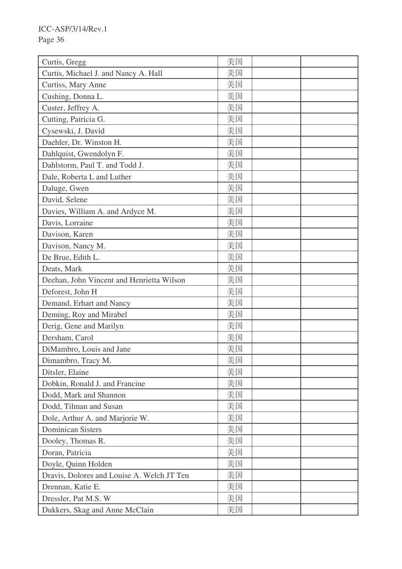| Curtis, Gregg                              | 美国 |  |
|--------------------------------------------|----|--|
| Curtis, Michael J. and Nancy A. Hall       | 美国 |  |
| Curtiss, Mary Anne                         | 美国 |  |
| Cushing, Donna L.                          | 美国 |  |
| Custer, Jeffrey A.                         | 美国 |  |
| Cutting, Patricia G.                       | 美国 |  |
| Cysewski, J. David                         | 美国 |  |
| Daehler, Dr. Winston H.                    | 美国 |  |
| Dahlquist, Gwendolyn F.                    | 美国 |  |
| Dahlstorm, Paul T. and Todd J.             | 美国 |  |
| Dale, Roberta L and Luther                 | 美国 |  |
| Daluge, Gwen                               | 美国 |  |
| David, Selene                              | 美国 |  |
| Davies, William A. and Ardyce M.           | 美国 |  |
| Davis, Lorraine                            | 美国 |  |
| Davison, Karen                             | 美国 |  |
| Davison, Nancy M.                          | 美国 |  |
| De Brue, Edith L.                          | 美国 |  |
| Deats, Mark                                | 美国 |  |
| Deehan, John Vincent and Henrietta Wilson  | 美国 |  |
| Deforest, John H                           | 美国 |  |
| Demand, Erhart and Nancy                   | 美国 |  |
| Deming, Roy and Mirabel                    | 美国 |  |
| Derig, Gene and Marilyn                    | 美国 |  |
| Dersham, Carol                             | 美国 |  |
| DiMambro, Louis and Jane                   | 美国 |  |
| Dimambro, Tracy M.                         | 美国 |  |
| Ditsler, Elaine                            | 美国 |  |
| Dobkin, Ronald J. and Francine             | 美国 |  |
| Dodd, Mark and Shannon                     | 美国 |  |
| Dodd, Tilman and Susan                     | 美国 |  |
| Dole, Arthur A. and Marjorie W.            | 美国 |  |
| <b>Dominican Sisters</b>                   | 美国 |  |
| Dooley, Thomas R.                          | 美国 |  |
| Doran, Patricia                            | 美国 |  |
| Doyle, Quinn Holden                        | 美国 |  |
| Dravis, Dolores and Louise A. Welch JT Ten | 美国 |  |
| Drennan, Katie E.                          | 美国 |  |
| Dressler, Pat M.S. W                       | 美国 |  |
| Dukkers, Skag and Anne McClain             | 美国 |  |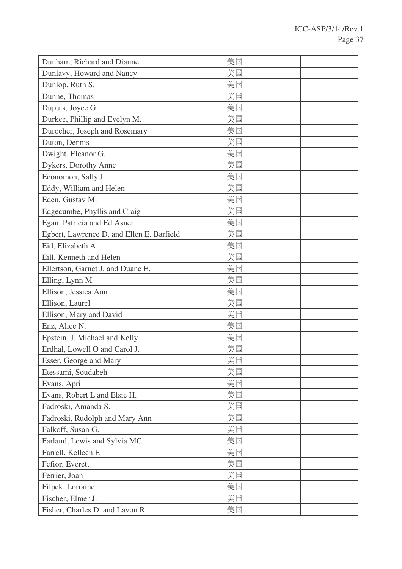| Dunham, Richard and Dianne                | 美国 |  |
|-------------------------------------------|----|--|
| Dunlavy, Howard and Nancy                 | 美国 |  |
| Dunlop, Ruth S.                           | 美国 |  |
| Dunne, Thomas                             | 美国 |  |
| Dupuis, Joyce G.                          | 美国 |  |
| Durkee, Phillip and Evelyn M.             | 美国 |  |
| Durocher, Joseph and Rosemary             | 美国 |  |
| Duton, Dennis                             | 美国 |  |
| Dwight, Eleanor G.                        | 美国 |  |
| Dykers, Dorothy Anne                      | 美国 |  |
| Economon, Sally J.                        | 美国 |  |
| Eddy, William and Helen                   | 美国 |  |
| Eden, Gustav M.                           | 美国 |  |
| Edgecumbe, Phyllis and Craig              | 美国 |  |
| Egan, Patricia and Ed Asner               | 美国 |  |
| Egbert, Lawrence D. and Ellen E. Barfield | 美国 |  |
| Eid, Elizabeth A.                         | 美国 |  |
| Eill, Kenneth and Helen                   | 美国 |  |
| Ellertson, Garnet J. and Duane E.         | 美国 |  |
| Elling, Lynn M                            | 美国 |  |
| Ellison, Jessica Ann                      | 美国 |  |
| Ellison, Laurel                           | 美国 |  |
| Ellison, Mary and David                   | 美国 |  |
| Enz, Alice N.                             | 美国 |  |
| Epstein, J. Michael and Kelly             | 美国 |  |
| Erdhal, Lowell O and Carol J.             | 美国 |  |
| Esser, George and Mary                    | 美国 |  |
| Etessami, Soudabeh                        | 美国 |  |
| Evans, April                              | 美国 |  |
| Evans, Robert L and Elsie H.              | 美国 |  |
| Fadroski, Amanda S.                       | 美国 |  |
| Fadroski, Rudolph and Mary Ann            | 美国 |  |
| Falkoff, Susan G.                         | 美国 |  |
| Farland, Lewis and Sylvia MC              | 美国 |  |
| Farrell, Kelleen E                        | 美国 |  |
| Fefior, Everett                           | 美国 |  |
| Ferrier, Joan                             | 美国 |  |
| Filpek, Lorraine                          | 美国 |  |
| Fischer, Elmer J.                         | 美国 |  |
| Fisher, Charles D. and Lavon R.           | 美国 |  |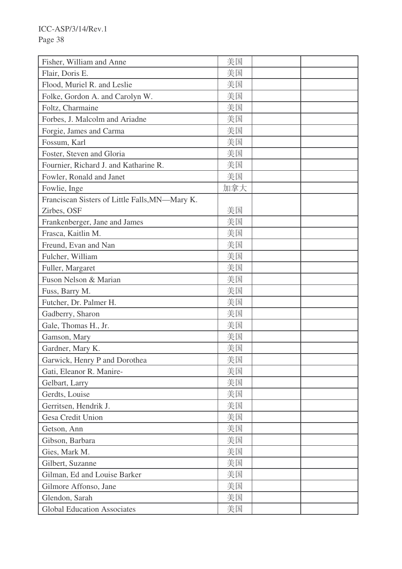| Fisher, William and Anne                       | 美国  |  |
|------------------------------------------------|-----|--|
| Flair, Doris E.                                | 美国  |  |
| Flood, Muriel R. and Leslie                    | 美国  |  |
| Folke, Gordon A. and Carolyn W.                | 美国  |  |
| Foltz, Charmaine                               | 美国  |  |
| Forbes, J. Malcolm and Ariadne                 | 美国  |  |
| Forgie, James and Carma                        | 美国  |  |
| Fossum, Karl                                   | 美国  |  |
| Foster, Steven and Gloria                      | 美国  |  |
| Fournier, Richard J. and Katharine R.          | 美国  |  |
| Fowler, Ronald and Janet                       | 美国  |  |
| Fowlie, Inge                                   | 加拿大 |  |
| Franciscan Sisters of Little Falls, MN-Mary K. |     |  |
| Zirbes, OSF                                    | 美国  |  |
| Frankenberger, Jane and James                  | 美国  |  |
| Frasca, Kaitlin M.                             | 美国  |  |
| Freund, Evan and Nan                           | 美国  |  |
| Fulcher, William                               | 美国  |  |
| Fuller, Margaret                               | 美国  |  |
| Fuson Nelson & Marian                          | 美国  |  |
| Fuss, Barry M.                                 | 美国  |  |
| Futcher, Dr. Palmer H.                         | 美国  |  |
| Gadberry, Sharon                               | 美国  |  |
| Gale, Thomas H., Jr.                           | 美国  |  |
| Gamson, Mary                                   | 美国  |  |
| Gardner, Mary K.                               | 美国  |  |
| Garwick, Henry P and Dorothea                  | 美国  |  |
| Gati, Eleanor R. Manire-                       | 美国  |  |
| Gelbart, Larry                                 | 美国  |  |
| Gerdts, Louise                                 | 美国  |  |
| Gerritsen, Hendrik J.                          | 美国  |  |
| Gesa Credit Union                              | 美国  |  |
| Getson, Ann                                    | 美国  |  |
| Gibson, Barbara                                | 美国  |  |
| Gies, Mark M.                                  | 美国  |  |
| Gilbert, Suzanne                               | 美国  |  |
| Gilman, Ed and Louise Barker                   | 美国  |  |
| Gilmore Affonso, Jane                          | 美国  |  |
| Glendon, Sarah                                 | 美国  |  |
| <b>Global Education Associates</b>             | 美国  |  |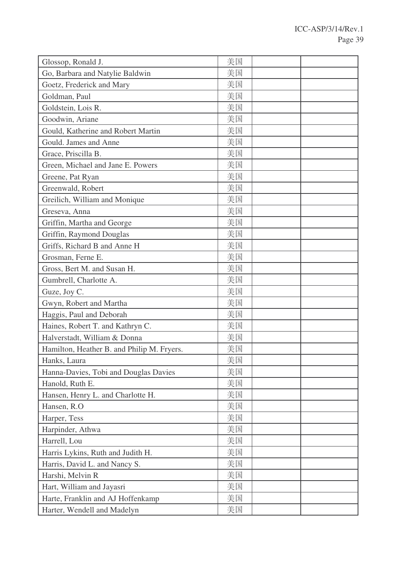| Glossop, Ronald J.                         | 美国 |  |
|--------------------------------------------|----|--|
| Go, Barbara and Natylie Baldwin            | 美国 |  |
| Goetz, Frederick and Mary                  | 美国 |  |
| Goldman, Paul                              | 美国 |  |
| Goldstein, Lois R.                         | 美国 |  |
| Goodwin, Ariane                            | 美国 |  |
| Gould, Katherine and Robert Martin         | 美国 |  |
| Gould. James and Anne                      | 美国 |  |
| Grace, Priscilla B.                        | 美国 |  |
| Green, Michael and Jane E. Powers          | 美国 |  |
| Greene, Pat Ryan                           | 美国 |  |
| Greenwald, Robert                          | 美国 |  |
| Greilich, William and Monique              | 美国 |  |
| Greseva, Anna                              | 美国 |  |
| Griffin, Martha and George                 | 美国 |  |
| Griffin, Raymond Douglas                   | 美国 |  |
| Griffs, Richard B and Anne H               | 美国 |  |
| Grosman, Ferne E.                          | 美国 |  |
| Gross, Bert M. and Susan H.                | 美国 |  |
| Gumbrell, Charlotte A.                     | 美国 |  |
| Guze, Joy C.                               | 美国 |  |
| Gwyn, Robert and Martha                    | 美国 |  |
| Haggis, Paul and Deborah                   | 美国 |  |
| Haines, Robert T. and Kathryn C.           | 美国 |  |
| Halverstadt, William & Donna               | 美国 |  |
| Hamilton, Heather B. and Philip M. Fryers. | 美国 |  |
| Hanks, Laura                               | 美国 |  |
| Hanna-Davies, Tobi and Douglas Davies      | 美国 |  |
| Hanold, Ruth E.                            | 美国 |  |
| Hansen, Henry L. and Charlotte H.          | 美国 |  |
| Hansen, R.O.                               | 美国 |  |
| Harper, Tess                               | 美国 |  |
| Harpinder, Athwa                           | 美国 |  |
| Harrell, Lou                               | 美国 |  |
| Harris Lykins, Ruth and Judith H.          | 美国 |  |
| Harris, David L. and Nancy S.              | 美国 |  |
| Harshi, Melvin R                           | 美国 |  |
| Hart, William and Jayasri                  | 美国 |  |
| Harte, Franklin and AJ Hoffenkamp          | 美国 |  |
| Harter, Wendell and Madelyn                | 美国 |  |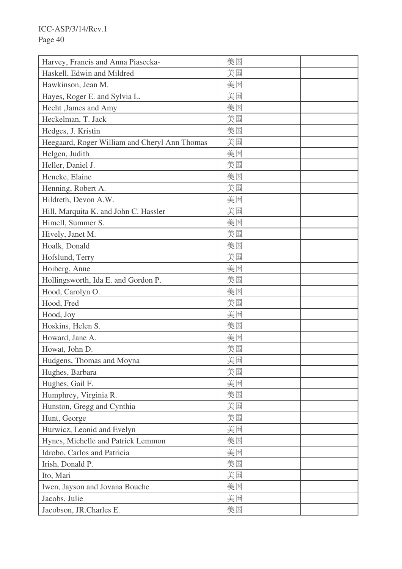| Harvey, Francis and Anna Piasecka-            | 美国 |  |
|-----------------------------------------------|----|--|
| Haskell, Edwin and Mildred                    | 美国 |  |
| Hawkinson, Jean M.                            | 美国 |  |
| Hayes, Roger E. and Sylvia L.                 | 美国 |  |
| Hecht , James and Amy                         | 美国 |  |
| Heckelman, T. Jack                            | 美国 |  |
| Hedges, J. Kristin                            | 美国 |  |
| Heegaard, Roger William and Cheryl Ann Thomas | 美国 |  |
| Helgen, Judith                                | 美国 |  |
| Heller, Daniel J.                             | 美国 |  |
| Hencke, Elaine                                | 美国 |  |
| Henning, Robert A.                            | 美国 |  |
| Hildreth, Devon A.W.                          | 美国 |  |
| Hill, Marquita K. and John C. Hassler         | 美国 |  |
| Himell, Summer S.                             | 美国 |  |
| Hively, Janet M.                              | 美国 |  |
| Hoalk, Donald                                 | 美国 |  |
| Hofslund, Terry                               | 美国 |  |
| Hoiberg, Anne                                 | 美国 |  |
| Hollingsworth, Ida E. and Gordon P.           | 美国 |  |
| Hood, Carolyn O.                              | 美国 |  |
| Hood, Fred                                    | 美国 |  |
| Hood, Joy                                     | 美国 |  |
| Hoskins, Helen S.                             | 美国 |  |
| Howard, Jane A.                               | 美国 |  |
| Howat, John D.                                | 美国 |  |
| Hudgens, Thomas and Moyna                     | 美国 |  |
| Hughes, Barbara                               | 美国 |  |
| Hughes, Gail F.                               | 美国 |  |
| Humphrey, Virginia R.                         | 美国 |  |
| Hunston, Gregg and Cynthia                    | 美国 |  |
| Hunt, George                                  | 美国 |  |
| Hurwicz, Leonid and Evelyn                    | 美国 |  |
| Hynes, Michelle and Patrick Lemmon            | 美国 |  |
| Idrobo, Carlos and Patricia                   | 美国 |  |
| Irish, Donald P.                              | 美国 |  |
| Ito, Mari                                     | 美国 |  |
| Iwen, Jayson and Jovana Bouche                | 美国 |  |
| Jacobs, Julie                                 | 美国 |  |
| Jacobson, JR.Charles E.                       | 美国 |  |
|                                               |    |  |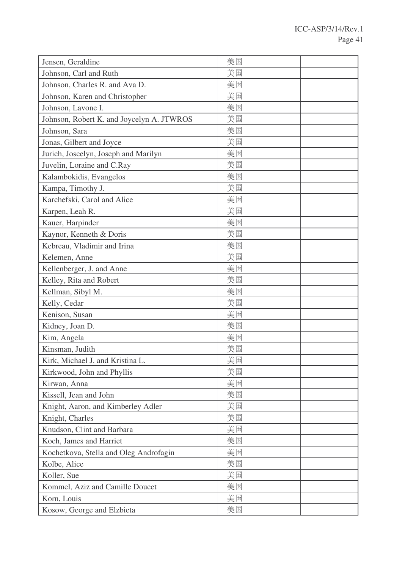| Jensen, Geraldine                         | 美国 |  |
|-------------------------------------------|----|--|
| Johnson, Carl and Ruth                    | 美国 |  |
| Johnson, Charles R. and Ava D.            | 美国 |  |
| Johnson, Karen and Christopher            | 美国 |  |
| Johnson, Lavone I.                        | 美国 |  |
| Johnson, Robert K. and Joycelyn A. JTWROS | 美国 |  |
| Johnson, Sara                             | 美国 |  |
| Jonas, Gilbert and Joyce                  | 美国 |  |
| Jurich, Joscelyn, Joseph and Marilyn      | 美国 |  |
| Juvelin, Loraine and C.Ray                | 美国 |  |
| Kalambokidis, Evangelos                   | 美国 |  |
| Kampa, Timothy J.                         | 美国 |  |
| Karchefski, Carol and Alice               | 美国 |  |
| Karpen, Leah R.                           | 美国 |  |
| Kauer, Harpinder                          | 美国 |  |
| Kaynor, Kenneth & Doris                   | 美国 |  |
| Kebreau, Vladimir and Irina               | 美国 |  |
| Kelemen, Anne                             | 美国 |  |
| Kellenberger, J. and Anne                 | 美国 |  |
| Kelley, Rita and Robert                   | 美国 |  |
| Kellman, Sibyl M.                         | 美国 |  |
| Kelly, Cedar                              | 美国 |  |
| Kenison, Susan                            | 美国 |  |
| Kidney, Joan D.                           | 美国 |  |
| Kim, Angela                               | 美国 |  |
| Kinsman, Judith                           | 美国 |  |
| Kirk, Michael J. and Kristina L.          | 美国 |  |
| Kirkwood, John and Phyllis                | 美国 |  |
| Kirwan, Anna                              | 美国 |  |
| Kissell, Jean and John                    | 美国 |  |
| Knight, Aaron, and Kimberley Adler        | 美国 |  |
| Knight, Charles                           | 美国 |  |
| Knudson, Clint and Barbara                | 美国 |  |
| Koch, James and Harriet                   | 美国 |  |
| Kochetkova, Stella and Oleg Androfagin    | 美国 |  |
| Kolbe, Alice                              | 美国 |  |
| Koller, Sue                               | 美国 |  |
| Kommel, Aziz and Camille Doucet           | 美国 |  |
| Korn, Louis                               | 美国 |  |
| Kosow, George and Elzbieta                | 美国 |  |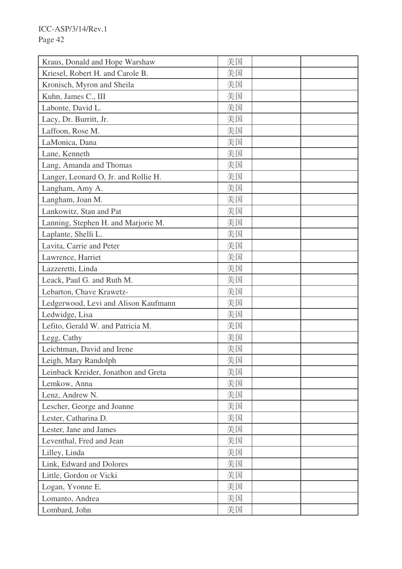| Kraus, Donald and Hope Warshaw       | 美国 |  |
|--------------------------------------|----|--|
| Kriesel, Robert H. and Carole B.     | 美国 |  |
| Kronisch, Myron and Sheila           | 美国 |  |
| Kuhn, James C., III                  | 美国 |  |
| Labonte, David L.                    | 美国 |  |
| Lacy, Dr. Burritt, Jr.               | 美国 |  |
| Laffoon, Rose M.                     | 美国 |  |
| LaMonica, Dana                       | 美国 |  |
| Lane, Kenneth                        | 美国 |  |
| Lang, Amanda and Thomas              | 美国 |  |
| Langer, Leonard O, Jr. and Rollie H. | 美国 |  |
| Langham, Amy A.                      | 美国 |  |
| Langham, Joan M.                     | 美国 |  |
| Lankowitz, Stan and Pat              | 美国 |  |
| Lanning, Stephen H. and Marjorie M.  | 美国 |  |
| Laplante, Shelli L.                  | 美国 |  |
| Lavita, Carrie and Peter             | 美国 |  |
| Lawrence, Harriet                    | 美国 |  |
| Lazzeretti, Linda                    | 美国 |  |
| Leack, Paul G. and Ruth M.           | 美国 |  |
| Lebarton, Chave Krawetz-             | 美国 |  |
| Ledgerwood, Levi and Alison Kaufmann | 美国 |  |
| Ledwidge, Lisa                       | 美国 |  |
| Lefito, Gerald W. and Patricia M.    | 美国 |  |
| Legg, Cathy                          | 美国 |  |
| Leichtman, David and Irene           | 美国 |  |
| Leigh, Mary Randolph                 | 美国 |  |
| Leinback Kreider, Jonathon and Greta | 美国 |  |
| Lemkow, Anna                         | 美国 |  |
| Lenz, Andrew N.                      | 美国 |  |
| Lescher, George and Joanne           | 美国 |  |
| Lester, Catharina D.                 | 美国 |  |
| Lester, Jane and James               | 美国 |  |
| Leventhal, Fred and Jean             | 美国 |  |
| Lilley, Linda                        | 美国 |  |
| Link, Edward and Dolores             | 美国 |  |
| Little, Gordon or Vicki              | 美国 |  |
| Logan, Yvonne E.                     | 美国 |  |
| Lomanto, Andrea                      | 美国 |  |
| Lombard, John                        | 美国 |  |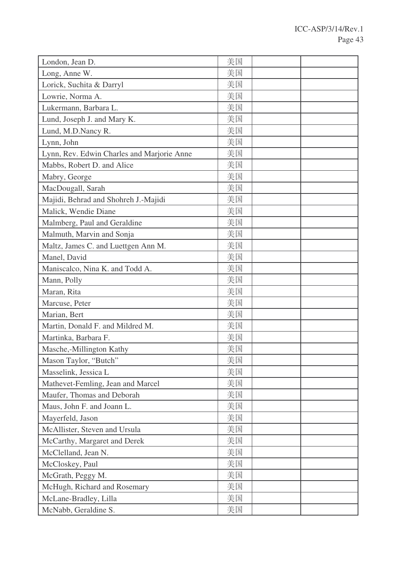| London, Jean D.                            | 美国 |  |
|--------------------------------------------|----|--|
| Long, Anne W.                              | 美国 |  |
| Lorick, Suchita & Darryl                   | 美国 |  |
| Lowrie, Norma A.                           | 美国 |  |
| Lukermann, Barbara L.                      | 美国 |  |
| Lund, Joseph J. and Mary K.                | 美国 |  |
| Lund, M.D.Nancy R.                         | 美国 |  |
| Lynn, John                                 | 美国 |  |
| Lynn, Rev. Edwin Charles and Marjorie Anne | 美国 |  |
| Mabbs, Robert D. and Alice                 | 美国 |  |
| Mabry, George                              | 美国 |  |
| MacDougall, Sarah                          | 美国 |  |
| Majidi, Behrad and Shohreh J.-Majidi       | 美国 |  |
| Malick, Wendie Diane                       | 美国 |  |
| Malmberg, Paul and Geraldine               | 美国 |  |
| Malmuth, Marvin and Sonja                  | 美国 |  |
| Maltz, James C. and Luettgen Ann M.        | 美国 |  |
| Manel, David                               | 美国 |  |
| Maniscalco, Nina K. and Todd A.            | 美国 |  |
| Mann, Polly                                | 美国 |  |
| Maran, Rita                                | 美国 |  |
| Marcuse, Peter                             | 美国 |  |
| Marian, Bert                               | 美国 |  |
| Martin, Donald F. and Mildred M.           | 美国 |  |
| Martinka, Barbara F.                       | 美国 |  |
| Masche,-Millington Kathy                   | 美国 |  |
| Mason Taylor, "Butch"                      | 美国 |  |
| Masselink, Jessica L                       | 美国 |  |
| Mathevet-Femling, Jean and Marcel          | 美国 |  |
| Maufer, Thomas and Deborah                 | 美国 |  |
| Maus, John F. and Joann L.                 | 美国 |  |
| Mayerfeld, Jason                           | 美国 |  |
| McAllister, Steven and Ursula              | 美国 |  |
| McCarthy, Margaret and Derek               | 美国 |  |
| McClelland, Jean N.                        | 美国 |  |
| McCloskey, Paul                            | 美国 |  |
| McGrath, Peggy M.                          | 美国 |  |
| McHugh, Richard and Rosemary               | 美国 |  |
| McLane-Bradley, Lilla                      | 美国 |  |
| McNabb, Geraldine S.                       | 美国 |  |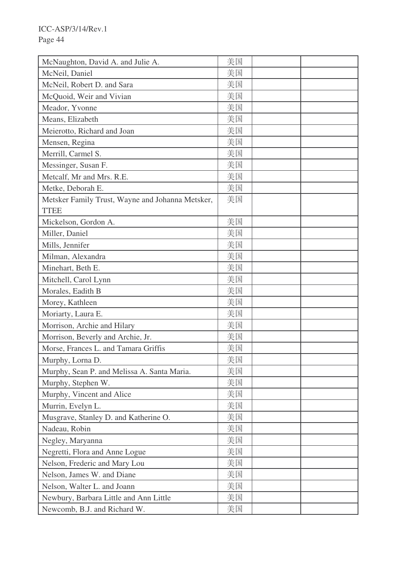| McNaughton, David A. and Julie A.                | 美国 |  |
|--------------------------------------------------|----|--|
| McNeil, Daniel                                   | 美国 |  |
| McNeil, Robert D. and Sara                       | 美国 |  |
| McQuoid, Weir and Vivian                         | 美国 |  |
| Meador, Yvonne                                   | 美国 |  |
| Means, Elizabeth                                 | 美国 |  |
| Meierotto, Richard and Joan                      | 美国 |  |
| Mensen, Regina                                   | 美国 |  |
| Merrill, Carmel S.                               | 美国 |  |
| Messinger, Susan F.                              | 美国 |  |
| Metcalf, Mr and Mrs. R.E.                        | 美国 |  |
| Metke, Deborah E.                                | 美国 |  |
| Metsker Family Trust, Wayne and Johanna Metsker, | 美国 |  |
| <b>TTEE</b>                                      |    |  |
| Mickelson, Gordon A.                             | 美国 |  |
| Miller, Daniel                                   | 美国 |  |
| Mills, Jennifer                                  | 美国 |  |
| Milman, Alexandra                                | 美国 |  |
| Minehart, Beth E.                                | 美国 |  |
| Mitchell, Carol Lynn                             | 美国 |  |
| Morales, Eadith B                                | 美国 |  |
| Morey, Kathleen                                  | 美国 |  |
| Moriarty, Laura E.                               | 美国 |  |
| Morrison, Archie and Hilary                      | 美国 |  |
| Morrison, Beverly and Archie, Jr.                | 美国 |  |
| Morse, Frances L. and Tamara Griffis             | 美国 |  |
| Murphy, Lorna D.                                 | 美国 |  |
| Murphy, Sean P. and Melissa A. Santa Maria.      | 美国 |  |
| Murphy, Stephen W.                               | 美国 |  |
| Murphy, Vincent and Alice                        | 美国 |  |
| Murrin, Evelyn L.                                | 美国 |  |
| Musgrave, Stanley D. and Katherine O.            | 美国 |  |
| Nadeau, Robin                                    | 美国 |  |
| Negley, Maryanna                                 | 美国 |  |
| Negretti, Flora and Anne Logue                   | 美国 |  |
| Nelson, Frederic and Mary Lou                    | 美国 |  |
| Nelson, James W. and Diane                       | 美国 |  |
| Nelson, Walter L. and Joann                      | 美国 |  |
| Newbury, Barbara Little and Ann Little           | 美国 |  |
| Newcomb, B.J. and Richard W.                     | 美国 |  |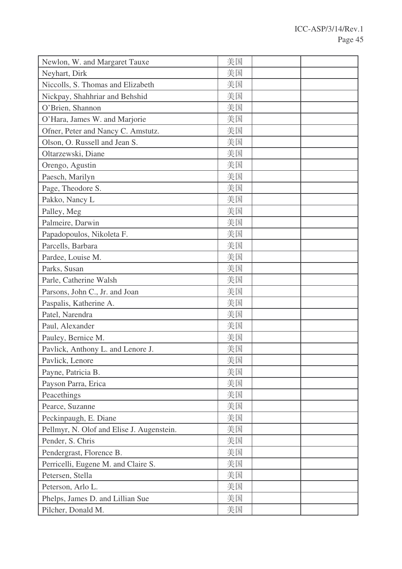| Newlon, W. and Margaret Tauxe             | 美国 |  |
|-------------------------------------------|----|--|
| Neyhart, Dirk                             | 美国 |  |
| Niccolls, S. Thomas and Elizabeth         | 美国 |  |
| Nickpay, Shahhriar and Behshid            | 美国 |  |
| O'Brien, Shannon                          | 美国 |  |
| O'Hara, James W. and Marjorie             | 美国 |  |
| Ofner, Peter and Nancy C. Amstutz.        | 美国 |  |
| Olson, O. Russell and Jean S.             | 美国 |  |
| Oltarzewski, Diane                        | 美国 |  |
| Orengo, Agustin                           | 美国 |  |
| Paesch, Marilyn                           | 美国 |  |
| Page, Theodore S.                         | 美国 |  |
| Pakko, Nancy L                            | 美国 |  |
| Palley, Meg                               | 美国 |  |
| Palmeire, Darwin                          | 美国 |  |
| Papadopoulos, Nikoleta F.                 | 美国 |  |
| Parcells, Barbara                         | 美国 |  |
| Pardee, Louise M.                         | 美国 |  |
| Parks, Susan                              | 美国 |  |
| Parle, Catherine Walsh                    | 美国 |  |
| Parsons, John C., Jr. and Joan            | 美国 |  |
| Paspalis, Katherine A.                    | 美国 |  |
| Patel, Narendra                           | 美国 |  |
| Paul, Alexander                           | 美国 |  |
| Pauley, Bernice M.                        | 美国 |  |
| Pavlick, Anthony L. and Lenore J.         | 美国 |  |
| Pavlick, Lenore                           | 美国 |  |
| Payne, Patricia B.                        | 美国 |  |
| Payson Parra, Erica                       | 美国 |  |
| Peacethings                               | 美国 |  |
| Pearce, Suzanne                           | 美国 |  |
| Peckinpaugh, E. Diane                     | 美国 |  |
| Pellmyr, N. Olof and Elise J. Augenstein. | 美国 |  |
| Pender, S. Chris                          | 美国 |  |
| Pendergrast, Florence B.                  | 美国 |  |
| Perricelli, Eugene M. and Claire S.       | 美国 |  |
| Petersen, Stella                          | 美国 |  |
| Peterson, Arlo L.                         | 美国 |  |
| Phelps, James D. and Lillian Sue          | 美国 |  |
| Pilcher, Donald M.                        | 美国 |  |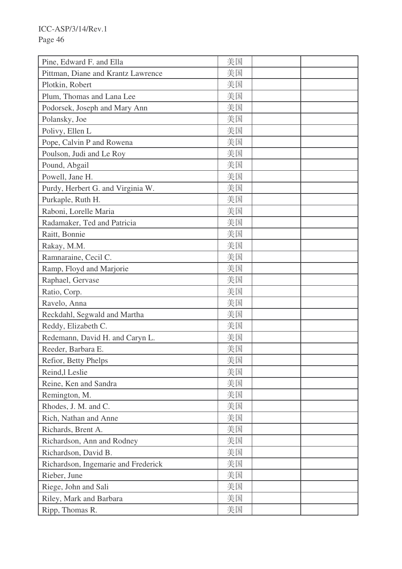| Pine, Edward F. and Ella            | 美国 |  |
|-------------------------------------|----|--|
| Pittman, Diane and Krantz Lawrence  | 美国 |  |
| Plotkin, Robert                     | 美国 |  |
| Plum, Thomas and Lana Lee           | 美国 |  |
| Podorsek, Joseph and Mary Ann       | 美国 |  |
| Polansky, Joe                       | 美国 |  |
| Polivy, Ellen L                     | 美国 |  |
| Pope, Calvin P and Rowena           | 美国 |  |
| Poulson, Judi and Le Roy            | 美国 |  |
| Pound, Abgail                       | 美国 |  |
| Powell, Jane H.                     | 美国 |  |
| Purdy, Herbert G. and Virginia W.   | 美国 |  |
| Purkaple, Ruth H.                   | 美国 |  |
| Raboni, Lorelle Maria               | 美国 |  |
| Radamaker, Ted and Patricia         | 美国 |  |
| Raitt, Bonnie                       | 美国 |  |
| Rakay, M.M.                         | 美国 |  |
| Ramnaraine, Cecil C.                | 美国 |  |
| Ramp, Floyd and Marjorie            | 美国 |  |
| Raphael, Gervase                    | 美国 |  |
| Ratio, Corp.                        | 美国 |  |
| Ravelo, Anna                        | 美国 |  |
| Reckdahl, Segwald and Martha        | 美国 |  |
| Reddy, Elizabeth C.                 | 美国 |  |
| Redemann, David H. and Caryn L.     | 美国 |  |
| Reeder, Barbara E.                  | 美国 |  |
| Refior, Betty Phelps                | 美国 |  |
| Reind, lLeslie                      | 美国 |  |
| Reine, Ken and Sandra               | 美国 |  |
| Remington, M.                       | 美国 |  |
| Rhodes, J. M. and C.                | 美国 |  |
| Rich, Nathan and Anne               | 美国 |  |
| Richards, Brent A.                  | 美国 |  |
| Richardson, Ann and Rodney          | 美国 |  |
| Richardson, David B.                | 美国 |  |
| Richardson, Ingemarie and Frederick | 美国 |  |
| Rieber, June                        | 美国 |  |
| Riege, John and Sali                | 美国 |  |
| Riley, Mark and Barbara             | 美国 |  |
| Ripp, Thomas R.                     | 美国 |  |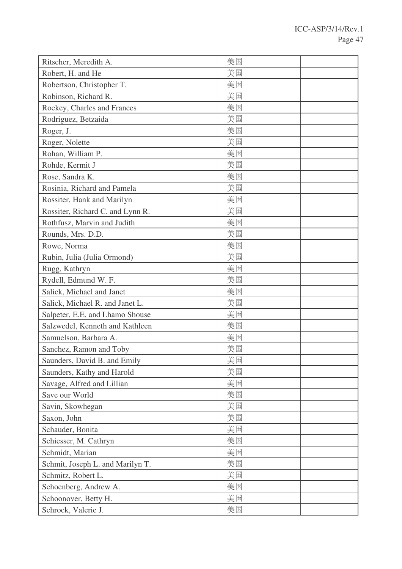| Ritscher, Meredith A.            | 美国 |  |
|----------------------------------|----|--|
| Robert, H. and He                | 美国 |  |
| Robertson, Christopher T.        | 美国 |  |
| Robinson, Richard R.             | 美国 |  |
| Rockey, Charles and Frances      | 美国 |  |
| Rodriguez, Betzaida              | 美国 |  |
| Roger, J.                        | 美国 |  |
| Roger, Nolette                   | 美国 |  |
| Rohan, William P.                | 美国 |  |
| Rohde, Kermit J                  | 美国 |  |
| Rose, Sandra K.                  | 美国 |  |
| Rosinia, Richard and Pamela      | 美国 |  |
| Rossiter, Hank and Marilyn       | 美国 |  |
| Rossiter, Richard C. and Lynn R. | 美国 |  |
| Rothfusz, Marvin and Judith      | 美国 |  |
| Rounds, Mrs. D.D.                | 美国 |  |
| Rowe, Norma                      | 美国 |  |
| Rubin, Julia (Julia Ormond)      | 美国 |  |
| Rugg, Kathryn                    | 美国 |  |
| Rydell, Edmund W. F.             | 美国 |  |
| Salick, Michael and Janet        | 美国 |  |
| Salick, Michael R. and Janet L.  | 美国 |  |
| Salpeter, E.E. and Lhamo Shouse  | 美国 |  |
| Salzwedel, Kenneth and Kathleen  | 美国 |  |
| Samuelson, Barbara A.            | 美国 |  |
| Sanchez, Ramon and Toby          | 美国 |  |
| Saunders, David B. and Emily     | 美国 |  |
| Saunders, Kathy and Harold       | 美国 |  |
| Savage, Alfred and Lillian       | 美国 |  |
| Save our World                   | 美国 |  |
| Savin, Skowhegan                 | 美国 |  |
| Saxon, John                      | 美国 |  |
| Schauder, Bonita                 | 美国 |  |
| Schiesser, M. Cathryn            | 美国 |  |
| Schmidt, Marian                  | 美国 |  |
| Schmit, Joseph L. and Marilyn T. | 美国 |  |
| Schmitz, Robert L.               | 美国 |  |
| Schoenberg, Andrew A.            | 美国 |  |
| Schoonover, Betty H.             | 美国 |  |
| Schrock, Valerie J.              | 美国 |  |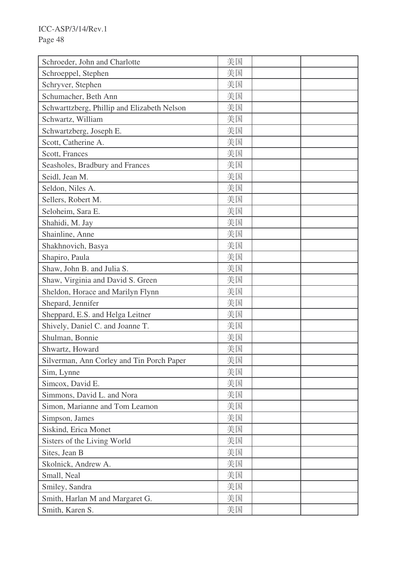| Schroeder, John and Charlotte               | 美国 |  |
|---------------------------------------------|----|--|
| Schroeppel, Stephen                         | 美国 |  |
| Schryver, Stephen                           | 美国 |  |
| Schumacher, Beth Ann                        | 美国 |  |
| Schwarttzberg, Phillip and Elizabeth Nelson | 美国 |  |
| Schwartz, William                           | 美国 |  |
| Schwartzberg, Joseph E.                     | 美国 |  |
| Scott, Catherine A.                         | 美国 |  |
| Scott, Frances                              | 美国 |  |
| Seasholes, Bradbury and Frances             | 美国 |  |
| Seidl, Jean M.                              | 美国 |  |
| Seldon, Niles A.                            | 美国 |  |
| Sellers, Robert M.                          | 美国 |  |
| Seloheim, Sara E.                           | 美国 |  |
| Shahidi, M. Jay                             | 美国 |  |
| Shainline, Anne                             | 美国 |  |
| Shakhnovich, Basya                          | 美国 |  |
| Shapiro, Paula                              | 美国 |  |
| Shaw, John B. and Julia S.                  | 美国 |  |
| Shaw, Virginia and David S. Green           | 美国 |  |
| Sheldon, Horace and Marilyn Flynn           | 美国 |  |
| Shepard, Jennifer                           | 美国 |  |
| Sheppard, E.S. and Helga Leitner            | 美国 |  |
| Shively, Daniel C. and Joanne T.            | 美国 |  |
| Shulman, Bonnie                             | 美国 |  |
| Shwartz, Howard                             | 美国 |  |
| Silverman, Ann Corley and Tin Porch Paper   | 美国 |  |
| Sim, Lynne                                  | 美国 |  |
| Simcox, David E.                            | 美国 |  |
| Simmons, David L. and Nora                  | 美国 |  |
| Simon, Marianne and Tom Leamon              | 美国 |  |
| Simpson, James                              | 美国 |  |
| Siskind, Erica Monet                        | 美国 |  |
| Sisters of the Living World                 | 美国 |  |
| Sites, Jean B                               | 美国 |  |
| Skolnick, Andrew A.                         | 美国 |  |
| Small, Neal                                 | 美国 |  |
| Smiley, Sandra                              | 美国 |  |
| Smith, Harlan M and Margaret G.             | 美国 |  |
| Smith, Karen S.                             | 美国 |  |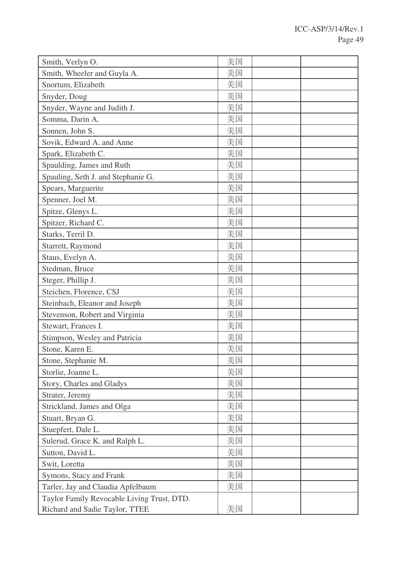| Smith, Verlyn O.                           | 美国 |  |
|--------------------------------------------|----|--|
| Smith, Wheeler and Guyla A.                | 美国 |  |
| Snortum, Elizabeth                         | 美国 |  |
| Snyder, Doug                               | 美国 |  |
| Snyder, Wayne and Judith J.                | 美国 |  |
| Somma, Darin A.                            | 美国 |  |
| Sonnen, John S.                            | 美国 |  |
| Sovik, Edward A. and Anne                  | 美国 |  |
| Spark, Elizabeth C.                        | 美国 |  |
| Spaulding, James and Ruth                  | 美国 |  |
| Spauling, Seth J. and Stephanie G.         | 美国 |  |
| Spears, Marguerite                         | 美国 |  |
| Spenner, Joel M.                           | 美国 |  |
| Spitze, Glenys L.                          | 美国 |  |
| Spitzer, Richard C.                        | 美国 |  |
| Starks, Terril D.                          | 美国 |  |
| Starrett, Raymond                          | 美国 |  |
| Staus, Evelyn A.                           | 美国 |  |
| Stedman, Bruce                             | 美国 |  |
| Steger, Phillip J.                         | 美国 |  |
| Steichen, Florence, CSJ                    | 美国 |  |
| Steinbach, Eleanor and Joseph              | 美国 |  |
| Stevenson, Robert and Virginia             | 美国 |  |
| Stewart, Frances I.                        | 美国 |  |
| Stimpson, Wesley and Patricia              | 美国 |  |
| Stone, Karen E.                            | 美国 |  |
| Stone, Stephanie M.                        | 美国 |  |
| Storlie, Joanne L.                         | 美国 |  |
| Story, Charles and Gladys                  | 美国 |  |
| Strater, Jeremy                            | 美国 |  |
| Strickland, James and Olga                 | 美国 |  |
| Stuart, Bryan G.                           | 美国 |  |
| Stuepfert, Dale L.                         | 美国 |  |
| Sulerud, Grace K. and Ralph L.             | 美国 |  |
| Sutton, David L.                           | 美国 |  |
| Swit, Loretta                              | 美国 |  |
| Symons, Stacy and Frank                    | 美国 |  |
| Tarler, Jay and Claudia Apfelbaum          | 美国 |  |
| Taylor Family Revocable Living Trust, DTD. |    |  |
| Richard and Sadie Taylor, TTEE             | 美国 |  |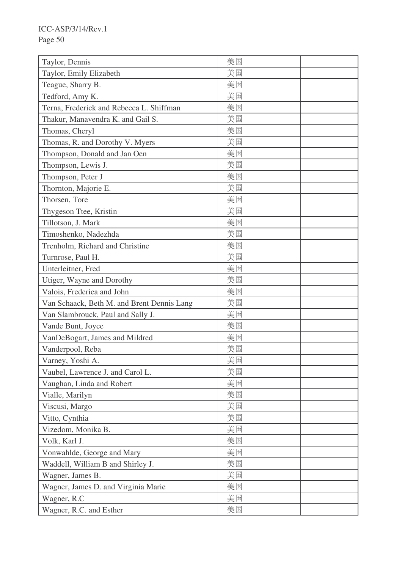| Taylor, Dennis                             | 美国 |  |
|--------------------------------------------|----|--|
| Taylor, Emily Elizabeth                    | 美国 |  |
| Teague, Sharry B.                          | 美国 |  |
| Tedford, Amy K.                            | 美国 |  |
| Terna, Frederick and Rebecca L. Shiffman   | 美国 |  |
| Thakur, Manavendra K. and Gail S.          | 美国 |  |
| Thomas, Cheryl                             | 美国 |  |
| Thomas, R. and Dorothy V. Myers            | 美国 |  |
| Thompson, Donald and Jan Oen               | 美国 |  |
| Thompson, Lewis J.                         | 美国 |  |
| Thompson, Peter J                          | 美国 |  |
| Thornton, Majorie E.                       | 美国 |  |
| Thorsen, Tore                              | 美国 |  |
| Thygeson Ttee, Kristin                     | 美国 |  |
| Tillotson, J. Mark                         | 美国 |  |
| Timoshenko, Nadezhda                       | 美国 |  |
| Trenholm, Richard and Christine            | 美国 |  |
| Turnrose, Paul H.                          | 美国 |  |
| Unterleitner, Fred                         | 美国 |  |
| Utiger, Wayne and Dorothy                  | 美国 |  |
| Valois, Frederica and John                 | 美国 |  |
| Van Schaack, Beth M. and Brent Dennis Lang | 美国 |  |
| Van Slambrouck, Paul and Sally J.          | 美国 |  |
| Vande Bunt, Joyce                          | 美国 |  |
| VanDeBogart, James and Mildred             | 美国 |  |
| Vanderpool, Reba                           | 美国 |  |
| Varney, Yoshi A.                           | 美国 |  |
| Vaubel, Lawrence J. and Carol L.           | 美国 |  |
| Vaughan, Linda and Robert                  | 美国 |  |
| Vialle, Marilyn                            | 美国 |  |
| Viscusi, Margo                             | 美国 |  |
| Vitto, Cynthia                             | 美国 |  |
| Vizedom, Monika B.                         | 美国 |  |
| Volk, Karl J.                              | 美国 |  |
| Vonwahlde, George and Mary                 | 美国 |  |
| Waddell, William B and Shirley J.          | 美国 |  |
| Wagner, James B.                           | 美国 |  |
| Wagner, James D. and Virginia Marie        | 美国 |  |
| Wagner, R.C                                | 美国 |  |
| Wagner, R.C. and Esther                    | 美国 |  |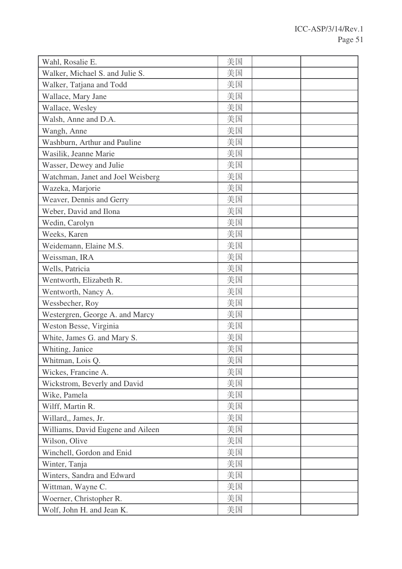| Wahl, Rosalie E.                  | 美国 |  |
|-----------------------------------|----|--|
| Walker, Michael S. and Julie S.   | 美国 |  |
| Walker, Tatjana and Todd          | 美国 |  |
| Wallace, Mary Jane                | 美国 |  |
| Wallace, Wesley                   | 美国 |  |
| Walsh, Anne and D.A.              | 美国 |  |
| Wangh, Anne                       | 美国 |  |
| Washburn, Arthur and Pauline      | 美国 |  |
| Wasilik, Jeanne Marie             | 美国 |  |
| Wasser, Dewey and Julie           | 美国 |  |
| Watchman, Janet and Joel Weisberg | 美国 |  |
| Wazeka, Marjorie                  | 美国 |  |
| Weaver, Dennis and Gerry          | 美国 |  |
| Weber, David and Ilona            | 美国 |  |
| Wedin, Carolyn                    | 美国 |  |
| Weeks, Karen                      | 美国 |  |
| Weidemann, Elaine M.S.            | 美国 |  |
| Weissman, IRA                     | 美国 |  |
| Wells, Patricia                   | 美国 |  |
| Wentworth, Elizabeth R.           | 美国 |  |
| Wentworth, Nancy A.               | 美国 |  |
| Wessbecher, Roy                   | 美国 |  |
| Westergren, George A. and Marcy   | 美国 |  |
| Weston Besse, Virginia            | 美国 |  |
| White, James G. and Mary S.       | 美国 |  |
| Whiting, Janice                   | 美国 |  |
| Whitman, Lois Q.                  | 美国 |  |
| Wickes, Francine A.               | 美国 |  |
| Wickstrom, Beverly and David      | 美国 |  |
| Wike, Pamela                      | 美国 |  |
| Wilff, Martin R.                  | 美国 |  |
| Willard,, James, Jr.              | 美国 |  |
| Williams, David Eugene and Aileen | 美国 |  |
| Wilson, Olive                     | 美国 |  |
| Winchell, Gordon and Enid         | 美国 |  |
| Winter, Tanja                     | 美国 |  |
| Winters, Sandra and Edward        | 美国 |  |
| Wittman, Wayne C.                 | 美国 |  |
| Woerner, Christopher R.           | 美国 |  |
| Wolf, John H. and Jean K.         | 美国 |  |